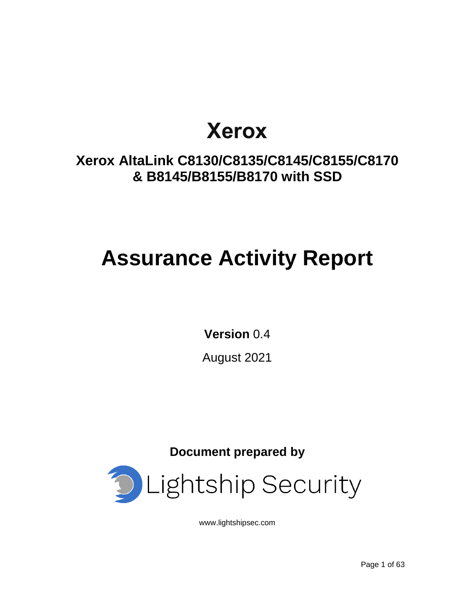# **Xerox**

# **Xerox AltaLink C8130/C8135/C8145/C8155/C8170 & B8145/B8155/B8170 with SSD**

# **Assurance Activity Report**

**Version** 0.4

August 2021

**Document prepared by**



[www.lightshipsec.com](http://www.lightshipsec.com/)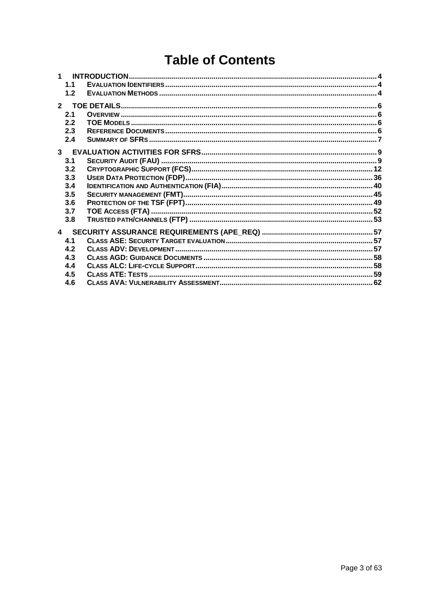# **Table of Contents**

| 1.1          |  |
|--------------|--|
| 1.2          |  |
| $\mathbf{2}$ |  |
| 2.1          |  |
| 2.2          |  |
| 2.3          |  |
| 2.4          |  |
| 3            |  |
| 3.1          |  |
| 3.2          |  |
| 3.3          |  |
| 3.4          |  |
| 3.5          |  |
| 3.6          |  |
| 3.7          |  |
| 3.8          |  |
| 4            |  |
| 4.1          |  |
| 4.2          |  |
| 4.3          |  |
| 4.4          |  |
| 4.5          |  |
| 4.6          |  |
|              |  |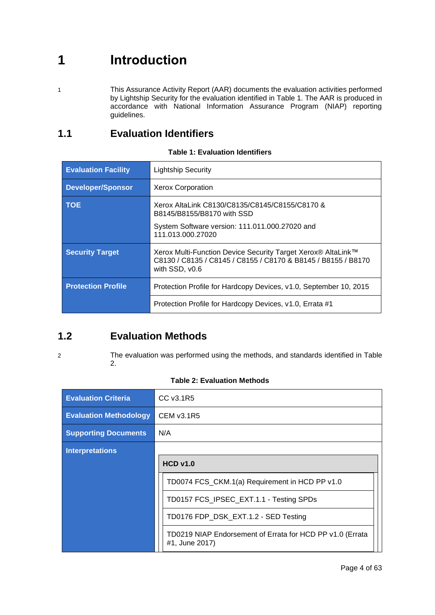# <span id="page-3-0"></span>**1 Introduction**

1 This Assurance Activity Report (AAR) documents the evaluation activities performed by Lightship Security for the evaluation identified in Table 1. The AAR is produced in accordance with National Information Assurance Program (NIAP) reporting guidelines.

### <span id="page-3-1"></span>**1.1 Evaluation Identifiers**

| <b>Evaluation Facility</b> | <b>Lightship Security</b>                                                                                                                       |
|----------------------------|-------------------------------------------------------------------------------------------------------------------------------------------------|
| <b>Developer/Sponsor</b>   | <b>Xerox Corporation</b>                                                                                                                        |
| <b>TOE</b>                 | Xerox AltaLink C8130/C8135/C8145/C8155/C8170 &<br>B8145/B8155/B8170 with SSD                                                                    |
|                            | System Software version: 111.011.000.27020 and<br>111.013.000.27020                                                                             |
| <b>Security Target</b>     | Xerox Multi-Function Device Security Target Xerox® AltaLink™<br>C8130 / C8135 / C8145 / C8155 / C8170 & B8145 / B8155 / B8170<br>with SSD, v0.6 |
| <b>Protection Profile</b>  | Protection Profile for Hardcopy Devices, v1.0, September 10, 2015                                                                               |
|                            | Protection Profile for Hardcopy Devices, v1.0, Errata #1                                                                                        |

### **Table 1: Evaluation Identifiers**

### <span id="page-3-2"></span>**1.2 Evaluation Methods**

2 The evaluation was performed using the methods, and standards identified in [Table](#page-3-3)  [2.](#page-3-3)

<span id="page-3-3"></span>

| <b>Evaluation Criteria</b>    | CC v3.1R5                                                                   |
|-------------------------------|-----------------------------------------------------------------------------|
| <b>Evaluation Methodology</b> | CEM v3.1R5                                                                  |
| <b>Supporting Documents</b>   | N/A                                                                         |
| <b>Interpretations</b>        |                                                                             |
|                               | $HCD$ v <sub>1.0</sub>                                                      |
|                               | TD0074 FCS_CKM.1(a) Requirement in HCD PP v1.0                              |
|                               | TD0157 FCS_IPSEC_EXT.1.1 - Testing SPDs                                     |
|                               | TD0176 FDP_DSK_EXT.1.2 - SED Testing                                        |
|                               | TD0219 NIAP Endorsement of Errata for HCD PP v1.0 (Errata<br>#1, June 2017) |

|  | <b>Table 2: Evaluation Methods</b> |  |
|--|------------------------------------|--|
|  |                                    |  |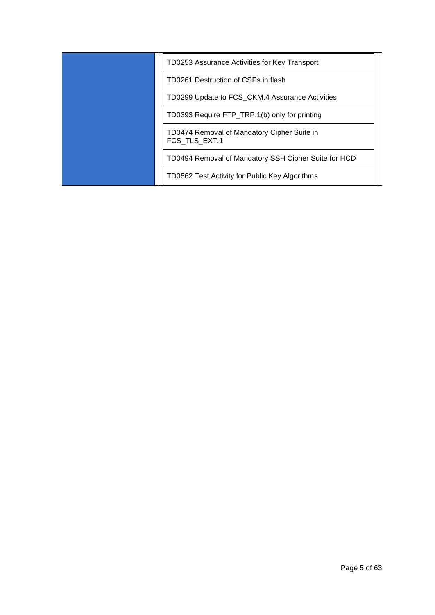| TD0253 Assurance Activities for Key Transport                |
|--------------------------------------------------------------|
| TD0261 Destruction of CSPs in flash                          |
| TD0299 Update to FCS_CKM.4 Assurance Activities              |
| TD0393 Require FTP_TRP.1(b) only for printing                |
| TD0474 Removal of Mandatory Cipher Suite in<br>FCS TLS EXT.1 |
| TD0494 Removal of Mandatory SSH Cipher Suite for HCD         |
| TD0562 Test Activity for Public Key Algorithms               |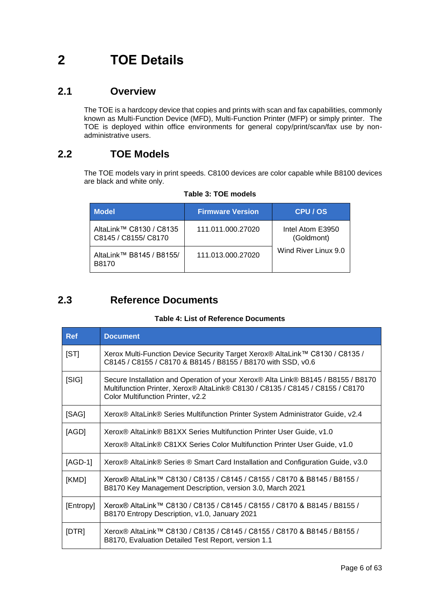# <span id="page-5-0"></span>**2 TOE Details**

### <span id="page-5-1"></span>**2.1 Overview**

The TOE is a hardcopy device that copies and prints with scan and fax capabilities, commonly known as Multi-Function Device (MFD), Multi-Function Printer (MFP) or simply printer. The TOE is deployed within office environments for general copy/print/scan/fax use by nonadministrative users.

### <span id="page-5-2"></span>**2.2 TOE Models**

The TOE models vary in print speeds. C8100 devices are color capable while B8100 devices are black and white only.

| <b>Model</b>                                    | <b>Firmware Version</b> | CPU / OS                       |
|-------------------------------------------------|-------------------------|--------------------------------|
| AltaLink™ C8130 / C8135<br>C8145 / C8155/ C8170 | 111.011.000.27020       | Intel Atom E3950<br>(Goldmont) |
| AltaLink™ B8145 / B8155/<br>B8170               | 111.013.000.27020       | Wind River Linux 9.0           |

**Table 3: TOE models**

### <span id="page-5-3"></span>**2.3 Reference Documents**

### **Table 4: List of Reference Documents**

| <b>Ref</b> | <b>Document</b>                                                                                                                                                                                         |
|------------|---------------------------------------------------------------------------------------------------------------------------------------------------------------------------------------------------------|
| [ST]       | Xerox Multi-Function Device Security Target Xerox® AltaLink™ C8130 / C8135 /<br>C8145 / C8155 / C8170 & B8145 / B8155 / B8170 with SSD, v0.6                                                            |
| [S G]      | Secure Installation and Operation of your Xerox® Alta Link® B8145 / B8155 / B8170<br>Multifunction Printer, Xerox® AltaLink® C8130 / C8135 / C8145 / C8155 / C8170<br>Color Multifunction Printer, v2.2 |
| [SAG]      | Xerox® AltaLink® Series Multifunction Printer System Administrator Guide, v2.4                                                                                                                          |
| [AGD]      | Xerox <sup>®</sup> AltaLink <sup>®</sup> B81XX Series Multifunction Printer User Guide, v1.0                                                                                                            |
|            | Xerox® AltaLink® C81XX Series Color Multifunction Printer User Guide, v1.0                                                                                                                              |
| $[AGD-1]$  | Xerox® AltaLink® Series ® Smart Card Installation and Configuration Guide, v3.0                                                                                                                         |
| [KMD]      | Xerox® AltaLink™ C8130 / C8135 / C8145 / C8155 / C8170 & B8145 / B8155 /<br>B8170 Key Management Description, version 3.0, March 2021                                                                   |
| [Entropy]  | Xerox® AltaLink™ C8130 / C8135 / C8145 / C8155 / C8170 & B8145 / B8155 /<br>B8170 Entropy Description, v1.0, January 2021                                                                               |
| [DTR]      | Xerox® AltaLink™ C8130 / C8135 / C8145 / C8155 / C8170 & B8145 / B8155 /<br>B8170, Evaluation Detailed Test Report, version 1.1                                                                         |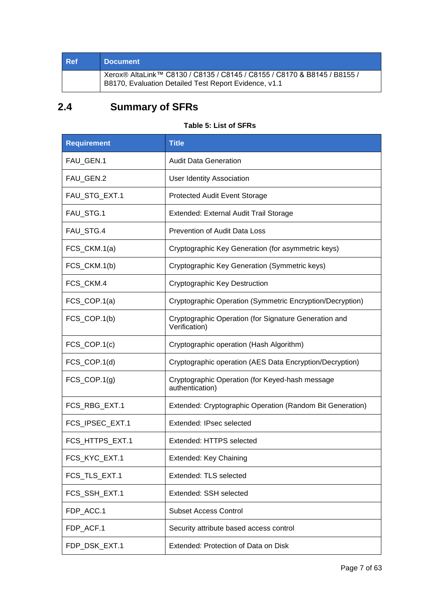| <b>Ref</b> | <b>Document</b>                                                                                                                   |
|------------|-----------------------------------------------------------------------------------------------------------------------------------|
|            | Xerox® AltaLink™ C8130 / C8135 / C8145 / C8155 / C8170 & B8145 / B8155 /<br>B8170, Evaluation Detailed Test Report Evidence, v1.1 |

## <span id="page-6-0"></span>**2.4 Summary of SFRs**

### **Table 5: List of SFRs**

| <b>Requirement</b>         | <b>Title</b>                                                           |
|----------------------------|------------------------------------------------------------------------|
| FAU_GEN.1                  | <b>Audit Data Generation</b>                                           |
| FAU_GEN.2                  | <b>User Identity Association</b>                                       |
| FAU_STG_EXT.1              | <b>Protected Audit Event Storage</b>                                   |
| FAU_STG.1                  | Extended: External Audit Trail Storage                                 |
| FAU_STG.4                  | <b>Prevention of Audit Data Loss</b>                                   |
| FCS_CKM.1(a)               | Cryptographic Key Generation (for asymmetric keys)                     |
| FCS_CKM.1(b)               | Cryptographic Key Generation (Symmetric keys)                          |
| FCS_CKM.4                  | <b>Cryptographic Key Destruction</b>                                   |
| FCS_COP.1(a)               | Cryptographic Operation (Symmetric Encryption/Decryption)              |
| FCS_COP.1(b)               | Cryptographic Operation (for Signature Generation and<br>Verification) |
| $FCS$ <sub>_COP.1(c)</sub> | Cryptographic operation (Hash Algorithm)                               |
| $FCS$ <sub>_COP.1(d)</sub> | Cryptographic operation (AES Data Encryption/Decryption)               |
| $FCS$ <sub>_COP.1(g)</sub> | Cryptographic Operation (for Keyed-hash message<br>authentication)     |
| FCS_RBG_EXT.1              | Extended: Cryptographic Operation (Random Bit Generation)              |
| FCS_IPSEC_EXT.1            | Extended: IPsec selected                                               |
| FCS_HTTPS_EXT.1            | Extended: HTTPS selected                                               |
| FCS KYC EXT.1              | Extended: Key Chaining                                                 |
| FCS_TLS_EXT.1              | Extended: TLS selected                                                 |
| FCS_SSH_EXT.1              | Extended: SSH selected                                                 |
| FDP_ACC.1                  | <b>Subset Access Control</b>                                           |
| FDP_ACF.1                  | Security attribute based access control                                |
| FDP_DSK_EXT.1              | Extended: Protection of Data on Disk                                   |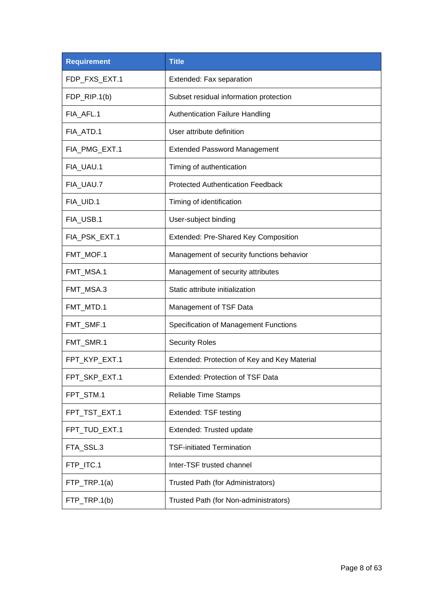| <b>Requirement</b> | <b>Title</b>                                 |
|--------------------|----------------------------------------------|
| FDP_FXS_EXT.1      | Extended: Fax separation                     |
| FDP_RIP.1(b)       | Subset residual information protection       |
| FIA_AFL.1          | <b>Authentication Failure Handling</b>       |
| FIA_ATD.1          | User attribute definition                    |
| FIA_PMG_EXT.1      | <b>Extended Password Management</b>          |
| FIA_UAU.1          | Timing of authentication                     |
| FIA_UAU.7          | <b>Protected Authentication Feedback</b>     |
| FIA UID.1          | Timing of identification                     |
| FIA_USB.1          | User-subject binding                         |
| FIA_PSK_EXT.1      | Extended: Pre-Shared Key Composition         |
| FMT_MOF.1          | Management of security functions behavior    |
| FMT_MSA.1          | Management of security attributes            |
| FMT_MSA.3          | Static attribute initialization              |
| FMT_MTD.1          | Management of TSF Data                       |
| FMT_SMF.1          | Specification of Management Functions        |
| FMT_SMR.1          | <b>Security Roles</b>                        |
| FPT_KYP_EXT.1      | Extended: Protection of Key and Key Material |
| FPT_SKP_EXT.1      | Extended: Protection of TSF Data             |
| FPT_STM.1          | <b>Reliable Time Stamps</b>                  |
| FPT_TST_EXT.1      | Extended: TSF testing                        |
| FPT_TUD_EXT.1      | Extended: Trusted update                     |
| FTA_SSL.3          | <b>TSF-initiated Termination</b>             |
| FTP_ITC.1          | Inter-TSF trusted channel                    |
| FTP_TRP.1(a)       | Trusted Path (for Administrators)            |
| FTP_TRP.1(b)       | Trusted Path (for Non-administrators)        |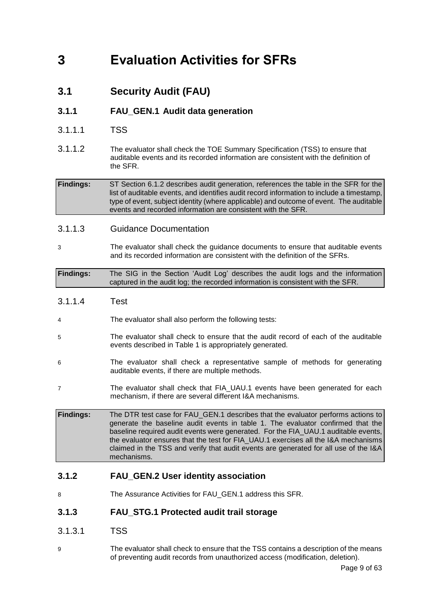# <span id="page-8-0"></span>**3 Evaluation Activities for SFRs**

<span id="page-8-1"></span>**3.1 Security Audit (FAU)**

### **3.1.1 FAU\_GEN.1 Audit data generation**

- 3.1.1.1 TSS
- 3.1.1.2 The evaluator shall check the TOE Summary Specification (TSS) to ensure that auditable events and its recorded information are consistent with the definition of the SFR.

**Findings:** ST Section 6.1.2 describes audit generation, references the table in the SFR for the list of auditable events, and identifies audit record information to include a timestamp, type of event, subject identity (where applicable) and outcome of event. The auditable events and recorded information are consistent with the SFR.

### 3.1.1.3 Guidance Documentation

3 The evaluator shall check the guidance documents to ensure that auditable events and its recorded information are consistent with the definition of the SFRs.

**Findings:** The SIG in the Section 'Audit Log' describes the audit logs and the information captured in the audit log; the recorded information is consistent with the SFR.

- 3.1.1.4 Test
- 4 The evaluator shall also perform the following tests:
- 5 The evaluator shall check to ensure that the audit record of each of the auditable events described in Table 1 is appropriately generated.
- 6 The evaluator shall check a representative sample of methods for generating auditable events, if there are multiple methods.
- 7 The evaluator shall check that FIA\_UAU.1 events have been generated for each mechanism, if there are several different I&A mechanisms.

**Findings:** The DTR test case for FAU\_GEN.1 describes that the evaluator performs actions to generate the baseline audit events in table 1. The evaluator confirmed that the baseline required audit events were generated. For the FIA\_UAU.1 auditable events, the evaluator ensures that the test for FIA\_UAU.1 exercises all the I&A mechanisms claimed in the TSS and verify that audit events are generated for all use of the I&A mechanisms.

### **3.1.2 FAU\_GEN.2 User identity association**

8 The Assurance Activities for FAU GEN.1 address this SFR.

### **3.1.3 FAU\_STG.1 Protected audit trail storage**

- 3.1.3.1 TSS
- 9 The evaluator shall check to ensure that the TSS contains a description of the means of preventing audit records from unauthorized access (modification, deletion).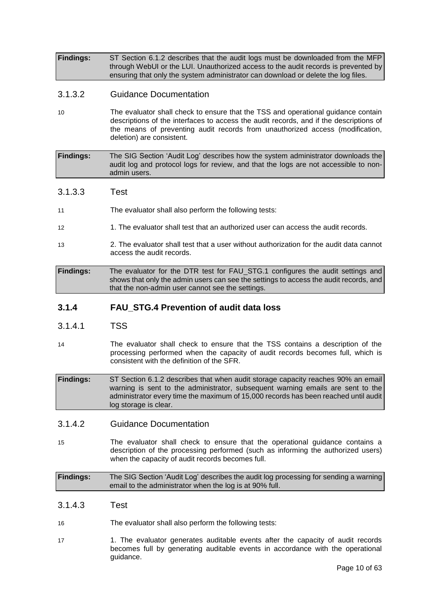**Findings:** ST Section 6.1.2 describes that the audit logs must be downloaded from the MFP through WebUI or the LUI. Unauthorized access to the audit records is prevented by ensuring that only the system administrator can download or delete the log files.

### 3.1.3.2 Guidance Documentation

10 The evaluator shall check to ensure that the TSS and operational guidance contain descriptions of the interfaces to access the audit records, and if the descriptions of the means of preventing audit records from unauthorized access (modification, deletion) are consistent.

**Findings:** The SIG Section 'Audit Log' describes how the system administrator downloads the audit log and protocol logs for review, and that the logs are not accessible to nonadmin users.

### 3.1.3.3 Test

- 11 The evaluator shall also perform the following tests:
- 12 12 1. The evaluator shall test that an authorized user can access the audit records.
- 13 2. The evaluator shall test that a user without authorization for the audit data cannot access the audit records.

**Findings:** The evaluator for the DTR test for FAU\_STG.1 configures the audit settings and shows that only the admin users can see the settings to access the audit records, and that the non-admin user cannot see the settings.

### **3.1.4 FAU\_STG.4 Prevention of audit data loss**

### 3.1.4.1 TSS

14 The evaluator shall check to ensure that the TSS contains a description of the processing performed when the capacity of audit records becomes full, which is consistent with the definition of the SFR.

**Findings:** ST Section 6.1.2 describes that when audit storage capacity reaches 90% an email warning is sent to the administrator, subsequent warning emails are sent to the administrator every time the maximum of 15,000 records has been reached until audit log storage is clear.

### 3.1.4.2 Guidance Documentation

15 The evaluator shall check to ensure that the operational guidance contains a description of the processing performed (such as informing the authorized users) when the capacity of audit records becomes full.

**Findings:** The SIG Section 'Audit Log' describes the audit log processing for sending a warning email to the administrator when the log is at 90% full.

- 3.1.4.3 Test
- 16 The evaluator shall also perform the following tests:
- 17 1. The evaluator generates auditable events after the capacity of audit records becomes full by generating auditable events in accordance with the operational guidance.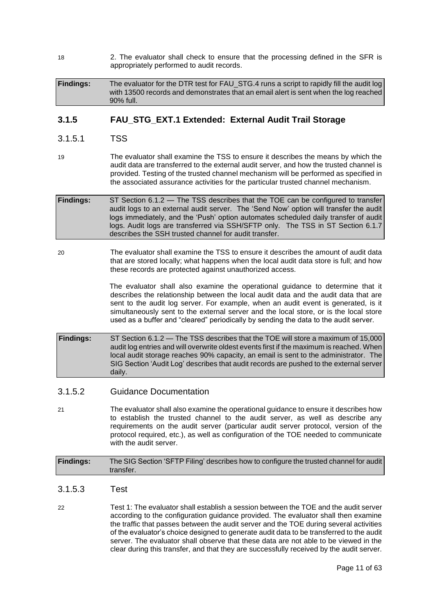18 2. The evaluator shall check to ensure that the processing defined in the SFR is appropriately performed to audit records.

**Findings:** The evaluator for the DTR test for FAU STG.4 runs a script to rapidly fill the audit log with 13500 records and demonstrates that an email alert is sent when the log reached 90% full.

### **3.1.5 FAU\_STG\_EXT.1 Extended: External Audit Trail Storage**

### 3.1.5.1 TSS

19 The evaluator shall examine the TSS to ensure it describes the means by which the audit data are transferred to the external audit server, and how the trusted channel is provided. Testing of the trusted channel mechanism will be performed as specified in the associated assurance activities for the particular trusted channel mechanism.

**Findings:** ST Section 6.1.2 — The TSS describes that the TOE can be configured to transfer audit logs to an external audit server. The 'Send Now' option will transfer the audit logs immediately, and the 'Push' option automates scheduled daily transfer of audit logs. Audit logs are transferred via SSH/SFTP only. The TSS in ST Section 6.1.7 describes the SSH trusted channel for audit transfer.

20 The evaluator shall examine the TSS to ensure it describes the amount of audit data that are stored locally; what happens when the local audit data store is full; and how these records are protected against unauthorized access.

> The evaluator shall also examine the operational guidance to determine that it describes the relationship between the local audit data and the audit data that are sent to the audit log server. For example, when an audit event is generated, is it simultaneously sent to the external server and the local store, or is the local store used as a buffer and "cleared" periodically by sending the data to the audit server.

**Findings:** ST Section 6.1.2 — The TSS describes that the TOE will store a maximum of 15,000 audit log entries and will overwrite oldest events first if the maximum is reached. When local audit storage reaches 90% capacity, an email is sent to the administrator. The SIG Section 'Audit Log' describes that audit records are pushed to the external server daily.

### 3.1.5.2 Guidance Documentation

21 The evaluator shall also examine the operational guidance to ensure it describes how to establish the trusted channel to the audit server, as well as describe any requirements on the audit server (particular audit server protocol, version of the protocol required, etc.), as well as configuration of the TOE needed to communicate with the audit server.

**Findings:** The SIG Section 'SFTP Filing' describes how to configure the trusted channel for audit transfer.

- 3.1.5.3 Test
- 22 Test 1: The evaluator shall establish a session between the TOE and the audit server according to the configuration guidance provided. The evaluator shall then examine the traffic that passes between the audit server and the TOE during several activities of the evaluator's choice designed to generate audit data to be transferred to the audit server. The evaluator shall observe that these data are not able to be viewed in the clear during this transfer, and that they are successfully received by the audit server.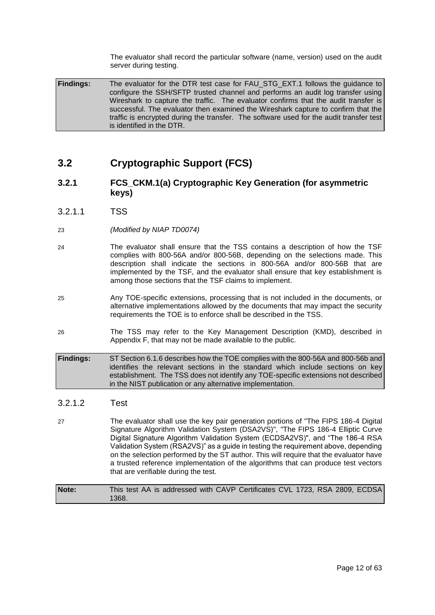The evaluator shall record the particular software (name, version) used on the audit server during testing.

Findings: The evaluator for the DTR test case for FAU STG EXT.1 follows the guidance to configure the SSH/SFTP trusted channel and performs an audit log transfer using Wireshark to capture the traffic. The evaluator confirms that the audit transfer is successful. The evaluator then examined the Wireshark capture to confirm that the traffic is encrypted during the transfer. The software used for the audit transfer test is identified in the DTR.

### <span id="page-11-0"></span>**3.2 Cryptographic Support (FCS)**

### **3.2.1 FCS\_CKM.1(a) Cryptographic Key Generation (for asymmetric keys)**

- 3.2.1.1 TSS
- 23 *(Modified by NIAP TD0074)*
- 24 The evaluator shall ensure that the TSS contains a description of how the TSF complies with 800-56A and/or 800-56B, depending on the selections made. This description shall indicate the sections in 800-56A and/or 800-56B that are implemented by the TSF, and the evaluator shall ensure that key establishment is among those sections that the TSF claims to implement.
- 25 Any TOE-specific extensions, processing that is not included in the documents, or alternative implementations allowed by the documents that may impact the security requirements the TOE is to enforce shall be described in the TSS.
- 26 The TSS may refer to the Key Management Description (KMD), described in Appendix F, that may not be made available to the public.

#### **Findings:** ST Section 6.1.6 describes how the TOE complies with the 800-56A and 800-56b and identifies the relevant sections in the standard which include sections on key establishment. The TSS does not identify any TOE-specific extensions not described in the NIST publication or any alternative implementation.

### 3.2.1.2 Test

27 The evaluator shall use the key pair generation portions of "The FIPS 186-4 Digital Signature Algorithm Validation System (DSA2VS)", "The FIPS 186-4 Elliptic Curve Digital Signature Algorithm Validation System (ECDSA2VS)", and "The 186-4 RSA Validation System (RSA2VS)" as a guide in testing the requirement above, depending on the selection performed by the ST author. This will require that the evaluator have a trusted reference implementation of the algorithms that can produce test vectors that are verifiable during the test.

**Note:** This test AA is addressed with CAVP Certificates CVL 1723, RSA 2809, ECDSA 1368.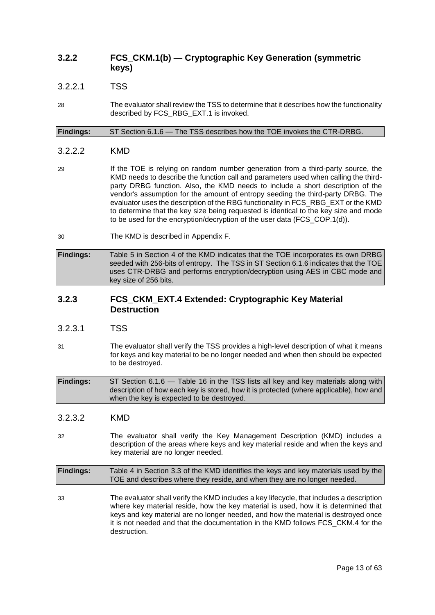### **3.2.2 FCS\_CKM.1(b) — Cryptographic Key Generation (symmetric keys)**

### 3.2.2.1 TSS

28 The evaluator shall review the TSS to determine that it describes how the functionality described by FCS\_RBG\_EXT.1 is invoked.

**Findings:** ST Section 6.1.6 — The TSS describes how the TOE invokes the CTR-DRBG.

### 3.2.2.2 KMD

- 29 If the TOE is relying on random number generation from a third-party source, the KMD needs to describe the function call and parameters used when calling the thirdparty DRBG function. Also, the KMD needs to include a short description of the vendor's assumption for the amount of entropy seeding the third-party DRBG. The evaluator uses the description of the RBG functionality in FCS\_RBG\_EXT or the KMD to determine that the key size being requested is identical to the key size and mode to be used for the encryption/decryption of the user data (FCS\_COP.1(d)).
- 30 The KMD is described in Appendix F.
- **Findings:** Table 5 in Section 4 of the KMD indicates that the TOE incorporates its own DRBG seeded with 256-bits of entropy. The TSS in ST Section 6.1.6 indicates that the TOE uses CTR-DRBG and performs encryption/decryption using AES in CBC mode and key size of 256 bits.

### **3.2.3 FCS\_CKM\_EXT.4 Extended: Cryptographic Key Material Destruction**

- 3.2.3.1 TSS
- 31 The evaluator shall verify the TSS provides a high-level description of what it means for keys and key material to be no longer needed and when then should be expected to be destroyed.

**Findings:** ST Section 6.1.6 — Table 16 in the TSS lists all key and key materials along with description of how each key is stored, how it is protected (where applicable), how and when the key is expected to be destroyed.

### 3.2.3.2 KMD

32 The evaluator shall verify the Key Management Description (KMD) includes a description of the areas where keys and key material reside and when the keys and key material are no longer needed.

**Findings:** Table 4 in Section 3.3 of the KMD identifies the keys and key materials used by the TOE and describes where they reside, and when they are no longer needed.

33 The evaluator shall verify the KMD includes a key lifecycle, that includes a description where key material reside, how the key material is used, how it is determined that keys and key material are no longer needed, and how the material is destroyed once it is not needed and that the documentation in the KMD follows FCS\_CKM.4 for the destruction.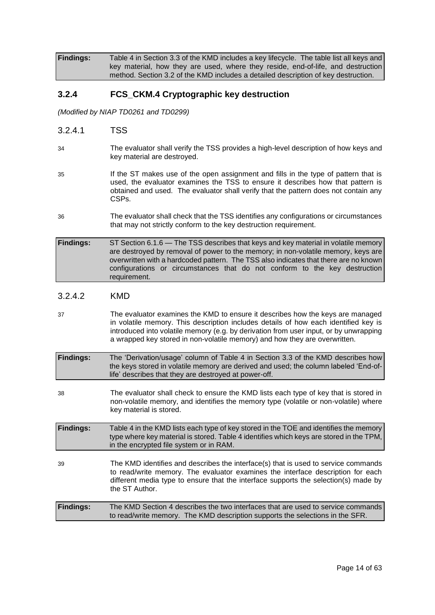**Findings:** Table 4 in Section 3.3 of the KMD includes a key lifecycle. The table list all keys and key material, how they are used, where they reside, end-of-life, and destruction method. Section 3.2 of the KMD includes a detailed description of key destruction.

### **3.2.4 FCS\_CKM.4 Cryptographic key destruction**

*(Modified by NIAP TD0261 and TD0299)*

- 3.2.4.1 TSS
- 34 The evaluator shall verify the TSS provides a high-level description of how keys and key material are destroyed.
- 35 If the ST makes use of the open assignment and fills in the type of pattern that is used, the evaluator examines the TSS to ensure it describes how that pattern is obtained and used. The evaluator shall verify that the pattern does not contain any CSPs.
- 36 The evaluator shall check that the TSS identifies any configurations or circumstances that may not strictly conform to the key destruction requirement.
- **Findings:** ST Section 6.1.6 The TSS describes that keys and key material in volatile memory are destroyed by removal of power to the memory; in non-volatile memory, keys are overwritten with a hardcoded pattern. The TSS also indicates that there are no known configurations or circumstances that do not conform to the key destruction requirement.

### 3.2.4.2 KMD

37 The evaluator examines the KMD to ensure it describes how the keys are managed in volatile memory. This description includes details of how each identified key is introduced into volatile memory (e.g. by derivation from user input, or by unwrapping a wrapped key stored in non-volatile memory) and how they are overwritten.

| <b>Findings:</b> | The 'Derivation/usage' column of Table 4 in Section 3.3 of the KMD describes how     |
|------------------|--------------------------------------------------------------------------------------|
|                  | the keys stored in volatile memory are derived and used; the column labeled 'End-of- |
|                  | life' describes that they are destroyed at power-off.                                |
|                  |                                                                                      |

38 The evaluator shall check to ensure the KMD lists each type of key that is stored in non-volatile memory, and identifies the memory type (volatile or non-volatile) where key material is stored.

**Findings:** Table 4 in the KMD lists each type of key stored in the TOE and identifies the memory type where key material is stored. Table 4 identifies which keys are stored in the TPM, in the encrypted file system or in RAM.

39 The KMD identifies and describes the interface(s) that is used to service commands to read/write memory. The evaluator examines the interface description for each different media type to ensure that the interface supports the selection(s) made by the ST Author.

**Findings:** The KMD Section 4 describes the two interfaces that are used to service commands to read/write memory. The KMD description supports the selections in the SFR.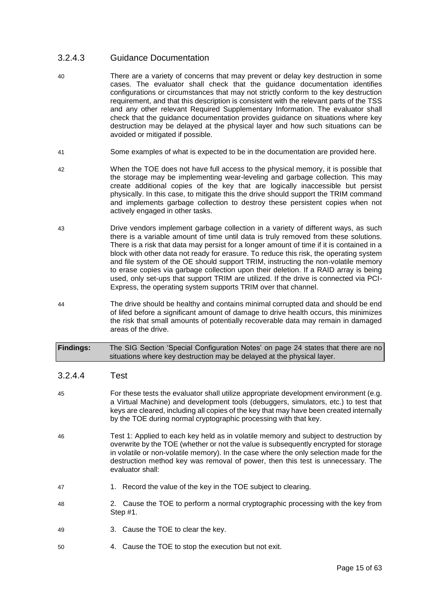### 3.2.4.3 Guidance Documentation

- 40 There are a variety of concerns that may prevent or delay key destruction in some cases. The evaluator shall check that the guidance documentation identifies configurations or circumstances that may not strictly conform to the key destruction requirement, and that this description is consistent with the relevant parts of the TSS and any other relevant Required Supplementary Information. The evaluator shall check that the guidance documentation provides guidance on situations where key destruction may be delayed at the physical layer and how such situations can be avoided or mitigated if possible.
- 41 Some examples of what is expected to be in the documentation are provided here.
- 42 When the TOE does not have full access to the physical memory, it is possible that the storage may be implementing wear-leveling and garbage collection. This may create additional copies of the key that are logically inaccessible but persist physically. In this case, to mitigate this the drive should support the TRIM command and implements garbage collection to destroy these persistent copies when not actively engaged in other tasks.
- 43 Drive vendors implement garbage collection in a variety of different ways, as such there is a variable amount of time until data is truly removed from these solutions. There is a risk that data may persist for a longer amount of time if it is contained in a block with other data not ready for erasure. To reduce this risk, the operating system and file system of the OE should support TRIM, instructing the non-volatile memory to erase copies via garbage collection upon their deletion. If a RAID array is being used, only set-ups that support TRIM are utilized. If the drive is connected via PCI-Express, the operating system supports TRIM over that channel.
- 44 The drive should be healthy and contains minimal corrupted data and should be end of lifed before a significant amount of damage to drive health occurs, this minimizes the risk that small amounts of potentially recoverable data may remain in damaged areas of the drive.

| <b>Findings:</b> | The SIG Section 'Special Configuration Notes' on page 24 states that there are no |
|------------------|-----------------------------------------------------------------------------------|
|                  | situations where key destruction may be delayed at the physical layer.            |

### 3.2.4.4 Test

- 45 For these tests the evaluator shall utilize appropriate development environment (e.g. a Virtual Machine) and development tools (debuggers, simulators, etc.) to test that keys are cleared, including all copies of the key that may have been created internally by the TOE during normal cryptographic processing with that key.
- 46 Test 1: Applied to each key held as in volatile memory and subject to destruction by overwrite by the TOE (whether or not the value is subsequently encrypted for storage in volatile or non-volatile memory). In the case where the only selection made for the destruction method key was removal of power, then this test is unnecessary. The evaluator shall:
- 47 1. Record the value of the key in the TOE subject to clearing.
- 48 2. Cause the TOE to perform a normal cryptographic processing with the key from Step #1.
- 49 3. Cause the TOE to clear the key.
- 50 4. Cause the TOE to stop the execution but not exit.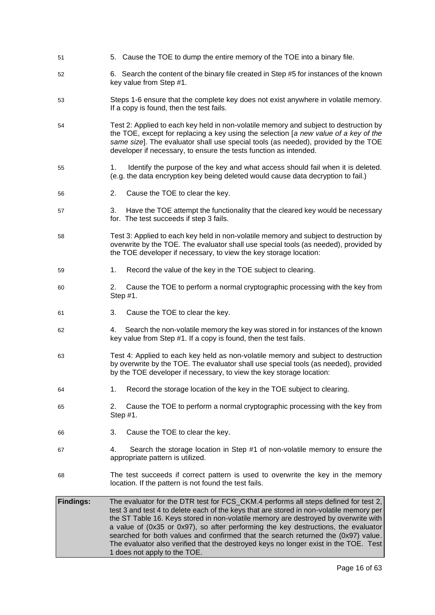- 51 5. Cause the TOE to dump the entire memory of the TOE into a binary file.
- 52 6. Search the content of the binary file created in Step #5 for instances of the known key value from Step #1.
- 53 Steps 1-6 ensure that the complete key does not exist anywhere in volatile memory. If a copy is found, then the test fails.
- 54 Test 2: Applied to each key held in non-volatile memory and subject to destruction by the TOE, except for replacing a key using the selection [*a new value of a key of the same size*]. The evaluator shall use special tools (as needed), provided by the TOE developer if necessary, to ensure the tests function as intended.
- 55 1. Identify the purpose of the key and what access should fail when it is deleted. (e.g. the data encryption key being deleted would cause data decryption to fail.)
- 56 2. Cause the TOE to clear the key.
- 57 3. Have the TOE attempt the functionality that the cleared key would be necessary for. The test succeeds if step 3 fails.
- 58 Test 3: Applied to each key held in non-volatile memory and subject to destruction by overwrite by the TOE. The evaluator shall use special tools (as needed), provided by the TOE developer if necessary, to view the key storage location:
- 59 1. Record the value of the key in the TOE subject to clearing.
- 60 2. Cause the TOE to perform a normal cryptographic processing with the key from Step #1.
- 61 3. Cause the TOE to clear the key.
- 62 4. Search the non-volatile memory the key was stored in for instances of the known key value from Step #1. If a copy is found, then the test fails.
- 63 Test 4: Applied to each key held as non-volatile memory and subject to destruction by overwrite by the TOE. The evaluator shall use special tools (as needed), provided by the TOE developer if necessary, to view the key storage location:
- 64 1. Record the storage location of the key in the TOE subject to clearing.
- 65 2. Cause the TOE to perform a normal cryptographic processing with the key from Step #1.
- 66 3. Cause the TOE to clear the key.
- 67 4. Search the storage location in Step #1 of non-volatile memory to ensure the appropriate pattern is utilized.
- 68 The test succeeds if correct pattern is used to overwrite the key in the memory location. If the pattern is not found the test fails.
- **Findings:** The evaluator for the DTR test for FCS\_CKM.4 performs all steps defined for test 2, test 3 and test 4 to delete each of the keys that are stored in non-volatile memory per the ST Table 16. Keys stored in non-volatile memory are destroyed by overwrite with a value of (0x35 or 0x97), so after performing the key destructions, the evaluator searched for both values and confirmed that the search returned the (0x97) value. The evaluator also verified that the destroyed keys no longer exist in the TOE. Test 1 does not apply to the TOE.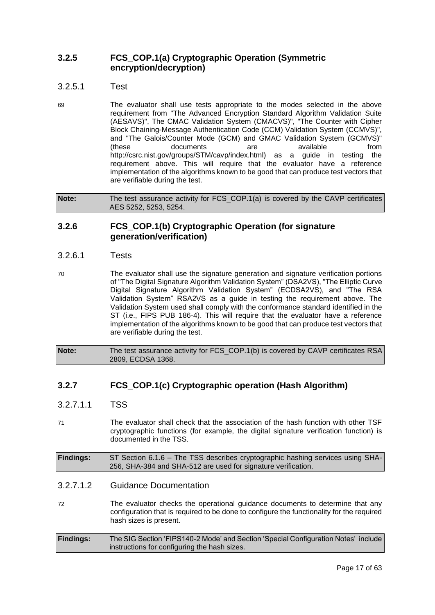### **3.2.5 FCS\_COP.1(a) Cryptographic Operation (Symmetric encryption/decryption)**

- 3.2.5.1 Test
- 69 The evaluator shall use tests appropriate to the modes selected in the above requirement from "The Advanced Encryption Standard Algorithm Validation Suite (AESAVS)", The CMAC Validation System (CMACVS)", "The Counter with Cipher Block Chaining-Message Authentication Code (CCM) Validation System (CCMVS)", and "The Galois/Counter Mode (GCM) and GMAC Validation System (GCMVS)" (these documents are available from http://csrc.nist.gov/groups/STM/cavp/index.html) as a guide in testing the requirement above. This will require that the evaluator have a reference implementation of the algorithms known to be good that can produce test vectors that are verifiable during the test.

**Note:** The test assurance activity for FCS COP.1(a) is covered by the CAVP certificates AES 5252, 5253, 5254.

### **3.2.6 FCS\_COP.1(b) Cryptographic Operation (for signature generation/verification)**

### 3.2.6.1 Tests

70 The evaluator shall use the signature generation and signature verification portions of "The Digital Signature Algorithm Validation System" (DSA2VS), "The Elliptic Curve Digital Signature Algorithm Validation System" (ECDSA2VS), and "The RSA Validation System" RSA2VS as a guide in testing the requirement above. The Validation System used shall comply with the conformance standard identified in the ST (i.e., FIPS PUB 186-4). This will require that the evaluator have a reference implementation of the algorithms known to be good that can produce test vectors that are verifiable during the test.

**Note:** The test assurance activity for FCS COP.1(b) is covered by CAVP certificates RSA 2809, ECDSA 1368.

### **3.2.7 FCS\_COP.1(c) Cryptographic operation (Hash Algorithm)**

- 3.2.7.1.1 TSS
- 71 The evaluator shall check that the association of the hash function with other TSF cryptographic functions (for example, the digital signature verification function) is documented in the TSS.

**Findings:** ST Section 6.1.6 – The TSS describes cryptographic hashing services using SHA-256, SHA-384 and SHA-512 are used for signature verification.

### 3.2.7.1.2 Guidance Documentation

72 The evaluator checks the operational guidance documents to determine that any configuration that is required to be done to configure the functionality for the required hash sizes is present.

| <b>Findings:</b> | The SIG Section 'FIPS140-2 Mode' and Section 'Special Configuration Notes' include |
|------------------|------------------------------------------------------------------------------------|
|                  | instructions for configuring the hash sizes.                                       |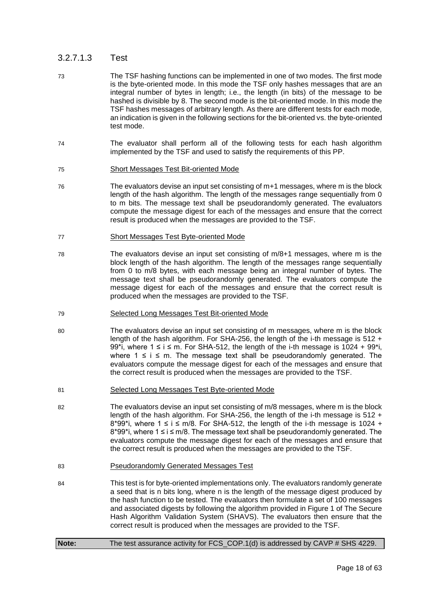### 3.2.7.1.3 Test

- 73 The TSF hashing functions can be implemented in one of two modes. The first mode is the byte-oriented mode. In this mode the TSF only hashes messages that are an integral number of bytes in length; i.e., the length (in bits) of the message to be hashed is divisible by 8. The second mode is the bit-oriented mode. In this mode the TSF hashes messages of arbitrary length. As there are different tests for each mode, an indication is given in the following sections for the bit-oriented vs. the byte-oriented test mode.
- 74 The evaluator shall perform all of the following tests for each hash algorithm implemented by the TSF and used to satisfy the requirements of this PP.
- 75 Short Messages Test Bit-oriented Mode
- 76 The evaluators devise an input set consisting of m+1 messages, where m is the block length of the hash algorithm. The length of the messages range sequentially from 0 to m bits. The message text shall be pseudorandomly generated. The evaluators compute the message digest for each of the messages and ensure that the correct result is produced when the messages are provided to the TSF.
- 77 Short Messages Test Byte-oriented Mode
- 78 The evaluators devise an input set consisting of m/8+1 messages, where m is the block length of the hash algorithm. The length of the messages range sequentially from 0 to m/8 bytes, with each message being an integral number of bytes. The message text shall be pseudorandomly generated. The evaluators compute the message digest for each of the messages and ensure that the correct result is produced when the messages are provided to the TSF.
- 79 Selected Long Messages Test Bit-oriented Mode
- 80 The evaluators devise an input set consisting of m messages, where m is the block length of the hash algorithm. For SHA-256, the length of the i-th message is 512 + 99<sup>\*</sup>i, where  $1 \le i \le m$ . For SHA-512, the length of the i-th message is 1024 + 99<sup>\*</sup>i, where  $1 \le i \le m$ . The message text shall be pseudorandomly generated. The evaluators compute the message digest for each of the messages and ensure that the correct result is produced when the messages are provided to the TSF.
- 81 Selected Long Messages Test Byte-oriented Mode
- 82 The evaluators devise an input set consisting of m/8 messages, where m is the block length of the hash algorithm. For SHA-256, the length of the i-th message is 512 + 8\*99\*i, where  $1 \le i \le m/8$ . For SHA-512, the length of the i-th message is 1024 +  $8*99*$ i, where  $1 \le i \le m/8$ . The message text shall be pseudorandomly generated. The evaluators compute the message digest for each of the messages and ensure that the correct result is produced when the messages are provided to the TSF.
- 83 Pseudorandomly Generated Messages Test
- 84 This test is for byte-oriented implementations only. The evaluators randomly generate a seed that is n bits long, where n is the length of the message digest produced by the hash function to be tested. The evaluators then formulate a set of 100 messages and associated digests by following the algorithm provided in Figure 1 of The Secure Hash Algorithm Validation System (SHAVS). The evaluators then ensure that the correct result is produced when the messages are provided to the TSF.

```
Note: The test assurance activity for FCS_COP.1(d) is addressed by CAVP # SHS 4229.
```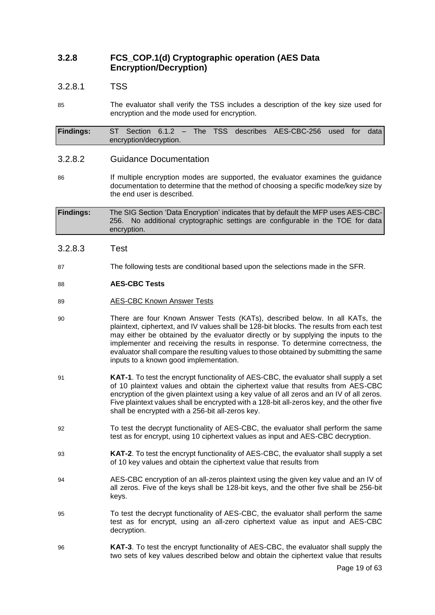### **3.2.8 FCS\_COP.1(d) Cryptographic operation (AES Data Encryption/Decryption)**

### 3.2.8.1 TSS

85 The evaluator shall verify the TSS includes a description of the key size used for encryption and the mode used for encryption.

**Findings:** ST Section 6.1.2 – The TSS describes AES-CBC-256 used for data encryption/decryption.

### 3.2.8.2 Guidance Documentation

86 If multiple encryption modes are supported, the evaluator examines the guidance documentation to determine that the method of choosing a specific mode/key size by the end user is described.

**Findings:** The SIG Section 'Data Encryption' indicates that by default the MFP uses AES-CBC-256. No additional cryptographic settings are configurable in the TOE for data encryption.

### 3.2.8.3 Test

87 The following tests are conditional based upon the selections made in the SFR.

### 88 **AES-CBC Tests**

- 89 AES-CBC Known Answer Tests
- 90 There are four Known Answer Tests (KATs), described below. In all KATs, the plaintext, ciphertext, and IV values shall be 128-bit blocks. The results from each test may either be obtained by the evaluator directly or by supplying the inputs to the implementer and receiving the results in response. To determine correctness, the evaluator shall compare the resulting values to those obtained by submitting the same inputs to a known good implementation.
- 91 **KAT-1**. To test the encrypt functionality of AES-CBC, the evaluator shall supply a set of 10 plaintext values and obtain the ciphertext value that results from AES-CBC encryption of the given plaintext using a key value of all zeros and an IV of all zeros. Five plaintext values shall be encrypted with a 128-bit all-zeros key, and the other five shall be encrypted with a 256-bit all-zeros key.
- 92 To test the decrypt functionality of AES-CBC, the evaluator shall perform the same test as for encrypt, using 10 ciphertext values as input and AES-CBC decryption.
- 93 **KAT-2**. To test the encrypt functionality of AES-CBC, the evaluator shall supply a set of 10 key values and obtain the ciphertext value that results from
- 94 AES-CBC encryption of an all-zeros plaintext using the given key value and an IV of all zeros. Five of the keys shall be 128-bit keys, and the other five shall be 256-bit keys.
- 95 To test the decrypt functionality of AES-CBC, the evaluator shall perform the same test as for encrypt, using an all-zero ciphertext value as input and AES-CBC decryption.
- 96 **KAT-3**. To test the encrypt functionality of AES-CBC, the evaluator shall supply the two sets of key values described below and obtain the ciphertext value that results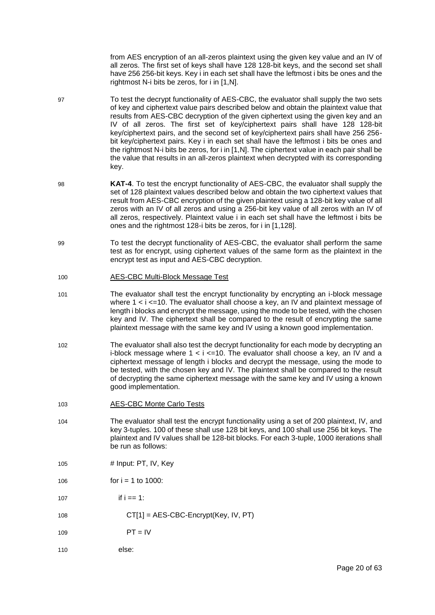from AES encryption of an all-zeros plaintext using the given key value and an IV of all zeros. The first set of keys shall have 128 128-bit keys, and the second set shall have 256 256-bit keys. Key i in each set shall have the leftmost i bits be ones and the rightmost N-i bits be zeros, for i in [1,N].

- 97 To test the decrypt functionality of AES-CBC, the evaluator shall supply the two sets of key and ciphertext value pairs described below and obtain the plaintext value that results from AES-CBC decryption of the given ciphertext using the given key and an IV of all zeros. The first set of key/ciphertext pairs shall have 128 128-bit key/ciphertext pairs, and the second set of key/ciphertext pairs shall have 256 256 bit key/ciphertext pairs. Key i in each set shall have the leftmost i bits be ones and the rightmost N-i bits be zeros, for i in [1,N]. The ciphertext value in each pair shall be the value that results in an all-zeros plaintext when decrypted with its corresponding key.
- 98 **KAT-4**. To test the encrypt functionality of AES-CBC, the evaluator shall supply the set of 128 plaintext values described below and obtain the two ciphertext values that result from AES-CBC encryption of the given plaintext using a 128-bit key value of all zeros with an IV of all zeros and using a 256-bit key value of all zeros with an IV of all zeros, respectively. Plaintext value i in each set shall have the leftmost i bits be ones and the rightmost 128-i bits be zeros, for i in [1,128].
- 99 To test the decrypt functionality of AES-CBC, the evaluator shall perform the same test as for encrypt, using ciphertext values of the same form as the plaintext in the encrypt test as input and AES-CBC decryption.

#### 100 AES-CBC Multi-Block Message Test

- 101 The evaluator shall test the encrypt functionality by encrypting an i-block message where  $1 < i <$ =10. The evaluator shall choose a key, an IV and plaintext message of length i blocks and encrypt the message, using the mode to be tested, with the chosen key and IV. The ciphertext shall be compared to the result of encrypting the same plaintext message with the same key and IV using a known good implementation.
- 102 The evaluator shall also test the decrypt functionality for each mode by decrypting an i-block message where  $1 < i <$ =10. The evaluator shall choose a key, an IV and a ciphertext message of length i blocks and decrypt the message, using the mode to be tested, with the chosen key and IV. The plaintext shall be compared to the result of decrypting the same ciphertext message with the same key and IV using a known good implementation.
- 103 AES-CBC Monte Carlo Tests
- 104 The evaluator shall test the encrypt functionality using a set of 200 plaintext, IV, and key 3-tuples. 100 of these shall use 128 bit keys, and 100 shall use 256 bit keys. The plaintext and IV values shall be 128-bit blocks. For each 3-tuple, 1000 iterations shall be run as follows:
- 105  $\#$  Input: PT, IV, Key
- 106  $for i = 1 to 1000$ :
- 107 if  $i = 1$ :
- 108 CT[1] = AES-CBC-Encrypt(Key, IV, PT)
- 109 PT = IV
- 110 else: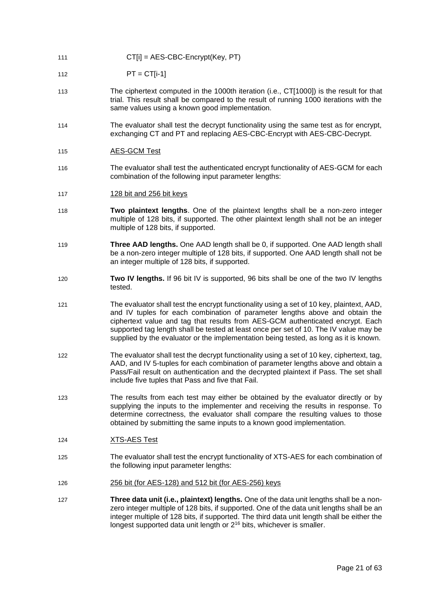- 111 CT[i] = AES-CBC-Encrypt(Key, PT)
- 112 PT = CT[i-1]
- 113 The ciphertext computed in the 1000th iteration (i.e., CT[1000]) is the result for that trial. This result shall be compared to the result of running 1000 iterations with the same values using a known good implementation.
- 114 The evaluator shall test the decrypt functionality using the same test as for encrypt, exchanging CT and PT and replacing AES-CBC-Encrypt with AES-CBC-Decrypt.
- 115 AES-GCM Test
- 116 The evaluator shall test the authenticated encrypt functionality of AES-GCM for each combination of the following input parameter lengths:
- 117 128 bit and 256 bit keys
- 118 **Two plaintext lengths**. One of the plaintext lengths shall be a non-zero integer multiple of 128 bits, if supported. The other plaintext length shall not be an integer multiple of 128 bits, if supported.
- 119 **Three AAD lengths.** One AAD length shall be 0, if supported. One AAD length shall be a non-zero integer multiple of 128 bits, if supported. One AAD length shall not be an integer multiple of 128 bits, if supported.
- 120 **Two IV lengths.** If 96 bit IV is supported, 96 bits shall be one of the two IV lengths tested.
- 121 The evaluator shall test the encrypt functionality using a set of 10 key, plaintext, AAD, and IV tuples for each combination of parameter lengths above and obtain the ciphertext value and tag that results from AES-GCM authenticated encrypt. Each supported tag length shall be tested at least once per set of 10. The IV value may be supplied by the evaluator or the implementation being tested, as long as it is known.
- 122 The evaluator shall test the decrypt functionality using a set of 10 key, ciphertext, tag, AAD, and IV 5-tuples for each combination of parameter lengths above and obtain a Pass/Fail result on authentication and the decrypted plaintext if Pass. The set shall include five tuples that Pass and five that Fail.
- 123 The results from each test may either be obtained by the evaluator directly or by supplying the inputs to the implementer and receiving the results in response. To determine correctness, the evaluator shall compare the resulting values to those obtained by submitting the same inputs to a known good implementation.
- 124 XTS-AES Test
- 125 The evaluator shall test the encrypt functionality of XTS-AES for each combination of the following input parameter lengths:
- 126 256 bit (for AES-128) and 512 bit (for AES-256) keys
- 127 **Three data unit (i.e., plaintext) lengths.** One of the data unit lengths shall be a nonzero integer multiple of 128 bits, if supported. One of the data unit lengths shall be an integer multiple of 128 bits, if supported. The third data unit length shall be either the longest supported data unit length or  $2^{16}$  bits, whichever is smaller.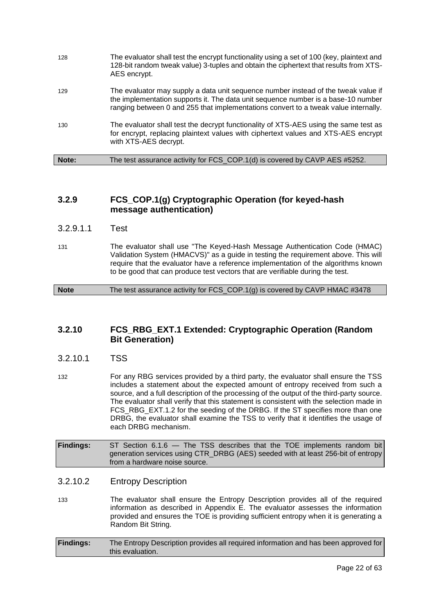| Note: | The test assurance activity for FCS_COP.1(d) is covered by CAVP AES #5252.                                                                                                                                                                                     |
|-------|----------------------------------------------------------------------------------------------------------------------------------------------------------------------------------------------------------------------------------------------------------------|
| 130   | The evaluator shall test the decrypt functionality of XTS-AES using the same test as<br>for encrypt, replacing plaintext values with ciphertext values and XTS-AES encrypt<br>with XTS-AES decrypt.                                                            |
| 129   | The evaluator may supply a data unit sequence number instead of the tweak value if<br>the implementation supports it. The data unit sequence number is a base-10 number<br>ranging between 0 and 255 that implementations convert to a tweak value internally. |
| 128   | The evaluator shall test the encrypt functionality using a set of 100 (key, plaintext and<br>128-bit random tweak value) 3-tuples and obtain the ciphertext that results from XTS-<br>AES encrypt.                                                             |

### **3.2.9 FCS\_COP.1(g) Cryptographic Operation (for keyed-hash message authentication)**

- 3.2.9.1.1 Test
- 131 The evaluator shall use "The Keyed-Hash Message Authentication Code (HMAC) Validation System (HMACVS)" as a guide in testing the requirement above. This will require that the evaluator have a reference implementation of the algorithms known to be good that can produce test vectors that are verifiable during the test.

**Note** The test assurance activity for FCS\_COP.1(g) is covered by CAVP HMAC #3478

### **3.2.10 FCS\_RBG\_EXT.1 Extended: Cryptographic Operation (Random Bit Generation)**

- 3.2.10.1 TSS
- 132 For any RBG services provided by a third party, the evaluator shall ensure the TSS includes a statement about the expected amount of entropy received from such a source, and a full description of the processing of the output of the third-party source. The evaluator shall verify that this statement is consistent with the selection made in FCS\_RBG\_EXT.1.2 for the seeding of the DRBG. If the ST specifies more than one DRBG, the evaluator shall examine the TSS to verify that it identifies the usage of each DRBG mechanism.
- **Findings:** ST Section 6.1.6 The TSS describes that the TOE implements random bit generation services using CTR\_DRBG (AES) seeded with at least 256-bit of entropy from a hardware noise source.

### 3.2.10.2 Entropy Description

133 The evaluator shall ensure the Entropy Description provides all of the required information as described in Appendix E. The evaluator assesses the information provided and ensures the TOE is providing sufficient entropy when it is generating a Random Bit String.

| <b>Findings:</b> | The Entropy Description provides all required information and has been approved for |
|------------------|-------------------------------------------------------------------------------------|
|                  | this evaluation.                                                                    |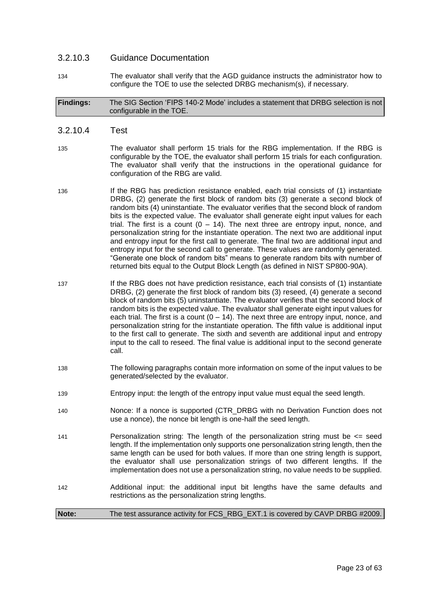### 3.2.10.3 Guidance Documentation

134 The evaluator shall verify that the AGD guidance instructs the administrator how to configure the TOE to use the selected DRBG mechanism(s), if necessary.

#### **Findings:** The SIG Section 'FIPS 140-2 Mode' includes a statement that DRBG selection is not configurable in the TOE.

#### 3.2.10.4 Test

- 135 The evaluator shall perform 15 trials for the RBG implementation. If the RBG is configurable by the TOE, the evaluator shall perform 15 trials for each configuration. The evaluator shall verify that the instructions in the operational guidance for configuration of the RBG are valid.
- 136 If the RBG has prediction resistance enabled, each trial consists of (1) instantiate DRBG, (2) generate the first block of random bits (3) generate a second block of random bits (4) uninstantiate. The evaluator verifies that the second block of random bits is the expected value. The evaluator shall generate eight input values for each trial. The first is a count  $(0 - 14)$ . The next three are entropy input, nonce, and personalization string for the instantiate operation. The next two are additional input and entropy input for the first call to generate. The final two are additional input and entropy input for the second call to generate. These values are randomly generated. "Generate one block of random bits" means to generate random bits with number of returned bits equal to the Output Block Length (as defined in NIST SP800-90A).
- 137 **If the RBG does not have prediction resistance, each trial consists of (1) instantiate** DRBG, (2) generate the first block of random bits (3) reseed, (4) generate a second block of random bits (5) uninstantiate. The evaluator verifies that the second block of random bits is the expected value. The evaluator shall generate eight input values for each trial. The first is a count  $(0 - 14)$ . The next three are entropy input, nonce, and personalization string for the instantiate operation. The fifth value is additional input to the first call to generate. The sixth and seventh are additional input and entropy input to the call to reseed. The final value is additional input to the second generate call.
- 138 The following paragraphs contain more information on some of the input values to be generated/selected by the evaluator.
- 139 Entropy input: the length of the entropy input value must equal the seed length.
- 140 Nonce: If a nonce is supported (CTR\_DRBG with no Derivation Function does not use a nonce), the nonce bit length is one-half the seed length.
- 141 Personalization string: The length of the personalization string must be <= seed length. If the implementation only supports one personalization string length, then the same length can be used for both values. If more than one string length is support, the evaluator shall use personalization strings of two different lengths. If the implementation does not use a personalization string, no value needs to be supplied.
- 142 Additional input: the additional input bit lengths have the same defaults and restrictions as the personalization string lengths.

#### **Note:** The test assurance activity for FCS\_RBG\_EXT.1 is covered by CAVP DRBG #2009.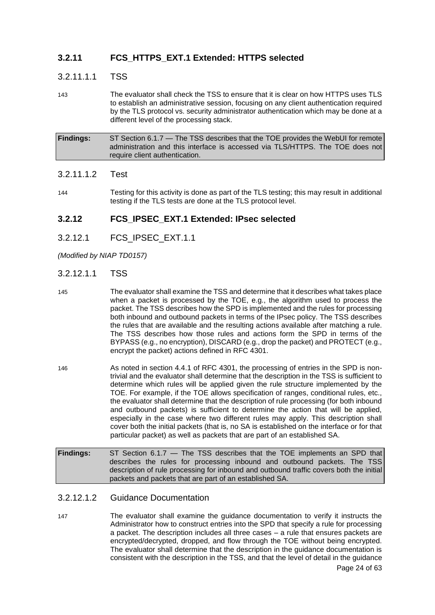### **3.2.11 FCS\_HTTPS\_EXT.1 Extended: HTTPS selected**

### 3.2.11.1.1 TSS

143 The evaluator shall check the TSS to ensure that it is clear on how HTTPS uses TLS to establish an administrative session, focusing on any client authentication required by the TLS protocol vs. security administrator authentication which may be done at a different level of the processing stack.

**Findings:** ST Section 6.1.7 — The TSS describes that the TOE provides the WebUI for remote administration and this interface is accessed via TLS/HTTPS. The TOE does not require client authentication.

### 3.2.11.1.2 Test

144 Testing for this activity is done as part of the TLS testing; this may result in additional testing if the TLS tests are done at the TLS protocol level.

### **3.2.12 FCS\_IPSEC\_EXT.1 Extended: IPsec selected**

3.2.12.1 FCS\_IPSEC\_EXT.1.1

*(Modified by NIAP TD0157)*

### 3.2.12.1.1 TSS

- 145 The evaluator shall examine the TSS and determine that it describes what takes place when a packet is processed by the TOE, e.g., the algorithm used to process the packet. The TSS describes how the SPD is implemented and the rules for processing both inbound and outbound packets in terms of the IPsec policy. The TSS describes the rules that are available and the resulting actions available after matching a rule. The TSS describes how those rules and actions form the SPD in terms of the BYPASS (e.g., no encryption), DISCARD (e.g., drop the packet) and PROTECT (e.g., encrypt the packet) actions defined in RFC 4301.
- 146 As noted in section 4.4.1 of RFC 4301, the processing of entries in the SPD is nontrivial and the evaluator shall determine that the description in the TSS is sufficient to determine which rules will be applied given the rule structure implemented by the TOE. For example, if the TOE allows specification of ranges, conditional rules, etc., the evaluator shall determine that the description of rule processing (for both inbound and outbound packets) is sufficient to determine the action that will be applied, especially in the case where two different rules may apply. This description shall cover both the initial packets (that is, no SA is established on the interface or for that particular packet) as well as packets that are part of an established SA.
- **Findings:** ST Section 6.1.7 The TSS describes that the TOE implements an SPD that describes the rules for processing inbound and outbound packets. The TSS description of rule processing for inbound and outbound traffic covers both the initial packets and packets that are part of an established SA.

### 3.2.12.1.2 Guidance Documentation

147 The evaluator shall examine the guidance documentation to verify it instructs the Administrator how to construct entries into the SPD that specify a rule for processing a packet. The description includes all three cases – a rule that ensures packets are encrypted/decrypted, dropped, and flow through the TOE without being encrypted. The evaluator shall determine that the description in the guidance documentation is consistent with the description in the TSS, and that the level of detail in the guidance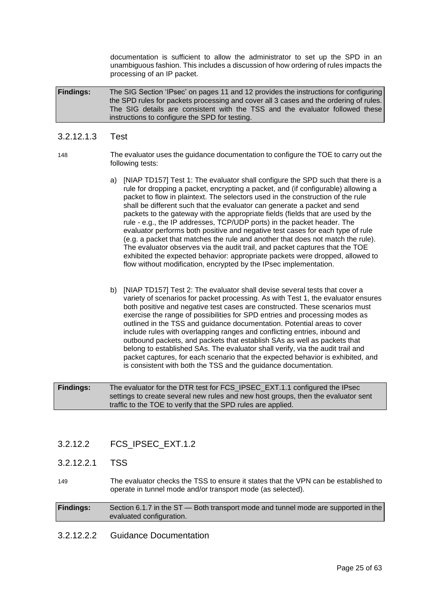documentation is sufficient to allow the administrator to set up the SPD in an unambiguous fashion. This includes a discussion of how ordering of rules impacts the processing of an IP packet.

**Findings:** The SIG Section 'IPsec' on pages 11 and 12 provides the instructions for configuring the SPD rules for packets processing and cover all 3 cases and the ordering of rules. The SIG details are consistent with the TSS and the evaluator followed these instructions to configure the SPD for testing.

### 3.2.12.1.3 Test

148 The evaluator uses the guidance documentation to configure the TOE to carry out the following tests:

- a) [NIAP TD157] Test 1: The evaluator shall configure the SPD such that there is a rule for dropping a packet, encrypting a packet, and (if configurable) allowing a packet to flow in plaintext. The selectors used in the construction of the rule shall be different such that the evaluator can generate a packet and send packets to the gateway with the appropriate fields (fields that are used by the rule - e.g., the IP addresses, TCP/UDP ports) in the packet header. The evaluator performs both positive and negative test cases for each type of rule (e.g. a packet that matches the rule and another that does not match the rule). The evaluator observes via the audit trail, and packet captures that the TOE exhibited the expected behavior: appropriate packets were dropped, allowed to flow without modification, encrypted by the IPsec implementation.
- b) [NIAP TD157] Test 2: The evaluator shall devise several tests that cover a variety of scenarios for packet processing. As with Test 1, the evaluator ensures both positive and negative test cases are constructed. These scenarios must exercise the range of possibilities for SPD entries and processing modes as outlined in the TSS and guidance documentation. Potential areas to cover include rules with overlapping ranges and conflicting entries, inbound and outbound packets, and packets that establish SAs as well as packets that belong to established SAs. The evaluator shall verify, via the audit trail and packet captures, for each scenario that the expected behavior is exhibited, and is consistent with both the TSS and the guidance documentation.

**Findings:** The evaluator for the DTR test for FCS\_IPSEC\_EXT.1.1 configured the IPsec settings to create several new rules and new host groups, then the evaluator sent traffic to the TOE to verify that the SPD rules are applied.

- 3.2.12.2 FCS\_IPSEC\_EXT.1.2
- 3.2.12.2.1 TSS

149 The evaluator checks the TSS to ensure it states that the VPN can be established to operate in tunnel mode and/or transport mode (as selected).

**Findings:** Section 6.1.7 in the ST — Both transport mode and tunnel mode are supported in the evaluated configuration.

3.2.12.2.2 Guidance Documentation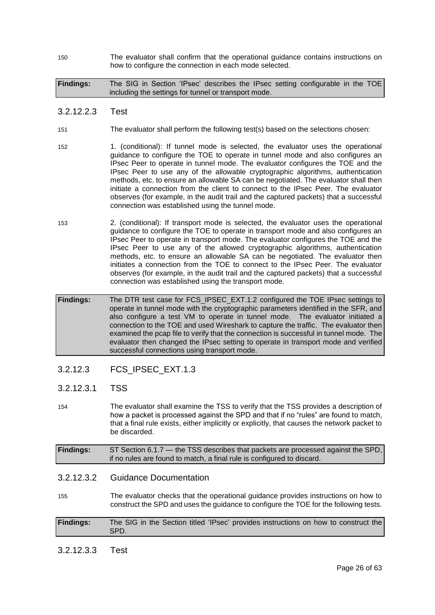150 The evaluator shall confirm that the operational guidance contains instructions on how to configure the connection in each mode selected.

**Findings:** The SIG in Section 'IPsec' describes the IPsec setting configurable in the TOE including the settings for tunnel or transport mode.

### 3.2.12.2.3 Test

- 151 The evaluator shall perform the following test(s) based on the selections chosen:
- 152 1. (conditional): If tunnel mode is selected, the evaluator uses the operational guidance to configure the TOE to operate in tunnel mode and also configures an IPsec Peer to operate in tunnel mode. The evaluator configures the TOE and the IPsec Peer to use any of the allowable cryptographic algorithms, authentication methods, etc. to ensure an allowable SA can be negotiated. The evaluator shall then initiate a connection from the client to connect to the IPsec Peer. The evaluator observes (for example, in the audit trail and the captured packets) that a successful connection was established using the tunnel mode.
- 153 2. (conditional): If transport mode is selected, the evaluator uses the operational guidance to configure the TOE to operate in transport mode and also configures an IPsec Peer to operate in transport mode. The evaluator configures the TOE and the IPsec Peer to use any of the allowed cryptographic algorithms, authentication methods, etc. to ensure an allowable SA can be negotiated. The evaluator then initiates a connection from the TOE to connect to the IPsec Peer. The evaluator observes (for example, in the audit trail and the captured packets) that a successful connection was established using the transport mode.
- **Findings:** The DTR test case for FCS\_IPSEC\_EXT.1.2 configured the TOE IPsec settings to operate in tunnel mode with the cryptographic parameters identified in the SFR, and also configure a test VM to operate in tunnel mode. The evaluator initiated a connection to the TOE and used Wireshark to capture the traffic. The evaluator then examined the pcap file to verify that the connection is successful in tunnel mode. The evaluator then changed the IPsec setting to operate in transport mode and verified successful connections using transport mode.

### 3.2.12.3 FCS\_IPSEC\_EXT.1.3

- 3.2.12.3.1 TSS
- 154 The evaluator shall examine the TSS to verify that the TSS provides a description of how a packet is processed against the SPD and that if no "rules" are found to match, that a final rule exists, either implicitly or explicitly, that causes the network packet to be discarded.

| <b>Findings:</b> | ST Section 6.1.7 — the TSS describes that packets are processed against the SPD, |
|------------------|----------------------------------------------------------------------------------|
|                  | if no rules are found to match, a final rule is configured to discard.           |

### 3.2.12.3.2 Guidance Documentation

155 The evaluator checks that the operational guidance provides instructions on how to construct the SPD and uses the guidance to configure the TOE for the following tests.

| <b>Findings:</b> | The SIG in the Section titled 'IPsec' provides instructions on how to construct the |
|------------------|-------------------------------------------------------------------------------------|
|                  | SPD.                                                                                |

### 3.2.12.3.3 Test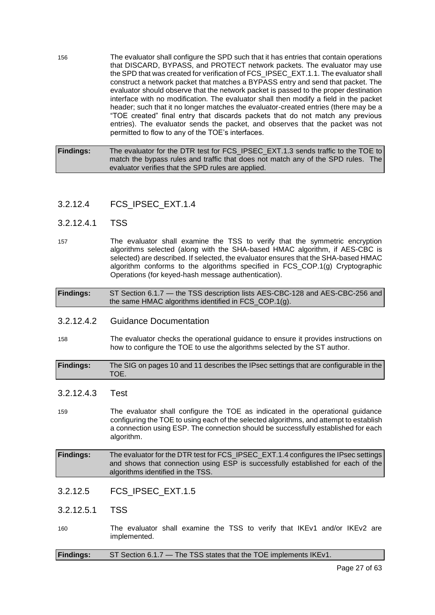156 The evaluator shall configure the SPD such that it has entries that contain operations that DISCARD, BYPASS, and PROTECT network packets. The evaluator may use the SPD that was created for verification of FCS\_IPSEC\_EXT.1.1. The evaluator shall construct a network packet that matches a BYPASS entry and send that packet. The evaluator should observe that the network packet is passed to the proper destination interface with no modification. The evaluator shall then modify a field in the packet header; such that it no longer matches the evaluator-created entries (there may be a "TOE created" final entry that discards packets that do not match any previous entries). The evaluator sends the packet, and observes that the packet was not permitted to flow to any of the TOE's interfaces.

**Findings:** The evaluator for the DTR test for FCS\_IPSEC\_EXT.1.3 sends traffic to the TOE to match the bypass rules and traffic that does not match any of the SPD rules. The evaluator verifies that the SPD rules are applied.

- 3.2.12.4 FCS\_IPSEC\_EXT.1.4
- 3.2.12.4.1 TSS
- 157 The evaluator shall examine the TSS to verify that the symmetric encryption algorithms selected (along with the SHA-based HMAC algorithm, if AES-CBC is selected) are described. If selected, the evaluator ensures that the SHA-based HMAC algorithm conforms to the algorithms specified in FCS\_COP.1(g) Cryptographic Operations (for keyed-hash message authentication).

**Findings:** ST Section 6.1.7 — the TSS description lists AES-CBC-128 and AES-CBC-256 and the same HMAC algorithms identified in FCS\_COP.1(g).

- 3.2.12.4.2 Guidance Documentation
- 158 The evaluator checks the operational guidance to ensure it provides instructions on how to configure the TOE to use the algorithms selected by the ST author.
- **Findings:** The SIG on pages 10 and 11 describes the IPsec settings that are configurable in the TOE.
- 3.2.12.4.3 Test
- 159 The evaluator shall configure the TOE as indicated in the operational guidance configuring the TOE to using each of the selected algorithms, and attempt to establish a connection using ESP. The connection should be successfully established for each algorithm.
- **Findings:** The evaluator for the DTR test for FCS\_IPSEC\_EXT.1.4 configures the IPsec settings and shows that connection using ESP is successfully established for each of the algorithms identified in the TSS.
- 3.2.12.5 FCS\_IPSEC\_EXT.1.5
- 3.2.12.5.1 TSS
- 160 The evaluator shall examine the TSS to verify that IKEv1 and/or IKEv2 are implemented.

| <b>Findings:</b> | ST Section 6.1.7 - The TSS states that the TOE implements IKEv1. |  |
|------------------|------------------------------------------------------------------|--|
|------------------|------------------------------------------------------------------|--|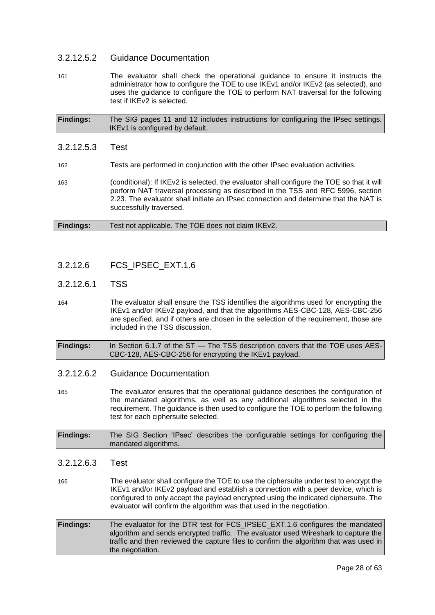### 3.2.12.5.2 Guidance Documentation

161 The evaluator shall check the operational guidance to ensure it instructs the administrator how to configure the TOE to use IKEv1 and/or IKEv2 (as selected), and uses the guidance to configure the TOE to perform NAT traversal for the following test if IKEv2 is selected.

| <b>Findings:</b> | The SIG pages 11 and 12 includes instructions for configuring the IPsec settings. |
|------------------|-----------------------------------------------------------------------------------|
|                  | IKEv1 is configured by default.                                                   |

3.2.12.5.3 Test 162 Tests are performed in conjunction with the other IPsec evaluation activities. 163 (conditional): If IKEv2 is selected, the evaluator shall configure the TOE so that it will perform NAT traversal processing as described in the TSS and RFC 5996, section 2.23. The evaluator shall initiate an IPsec connection and determine that the NAT is successfully traversed.

| <b>Findings:</b> | Test not applicable. The TOE does not claim IKEv2. |  |
|------------------|----------------------------------------------------|--|
|------------------|----------------------------------------------------|--|

### 3.2.12.6 FCS\_IPSEC\_EXT.1.6

### 3.2.12.6.1 TSS

- 164 The evaluator shall ensure the TSS identifies the algorithms used for encrypting the IKEv1 and/or IKEv2 payload, and that the algorithms AES-CBC-128, AES-CBC-256 are specified, and if others are chosen in the selection of the requirement, those are included in the TSS discussion.
- **Findings:** In Section 6.1.7 of the ST The TSS description covers that the TOE uses AES-CBC-128, AES-CBC-256 for encrypting the IKEv1 payload.

### 3.2.12.6.2 Guidance Documentation

- 165 The evaluator ensures that the operational guidance describes the configuration of the mandated algorithms, as well as any additional algorithms selected in the requirement. The guidance is then used to configure the TOE to perform the following test for each ciphersuite selected.
- **Findings:** The SIG Section 'IPsec' describes the configurable settings for configuring the mandated algorithms.
- 3.2.12.6.3 Test
- 166 The evaluator shall configure the TOE to use the ciphersuite under test to encrypt the IKEv1 and/or IKEv2 payload and establish a connection with a peer device, which is configured to only accept the payload encrypted using the indicated ciphersuite. The evaluator will confirm the algorithm was that used in the negotiation.
- **Findings:** The evaluator for the DTR test for FCS\_IPSEC\_EXT.1.6 configures the mandated algorithm and sends encrypted traffic. The evaluator used Wireshark to capture the traffic and then reviewed the capture files to confirm the algorithm that was used in the negotiation.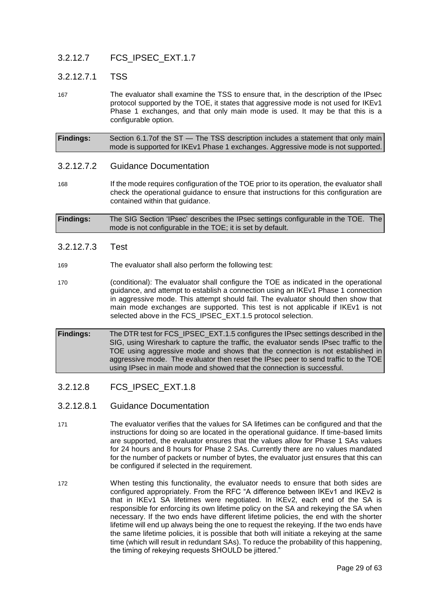### 3.2.12.7 FCS\_IPSEC\_EXT.1.7

### 3.2.12.7.1 TSS

167 The evaluator shall examine the TSS to ensure that, in the description of the IPsec protocol supported by the TOE, it states that aggressive mode is not used for IKEv1 Phase 1 exchanges, and that only main mode is used. It may be that this is a configurable option.

**Findings:** Section 6.1.7of the ST — The TSS description includes a statement that only main mode is supported for IKEv1 Phase 1 exchanges. Aggressive mode is not supported.

### 3.2.12.7.2 Guidance Documentation

168 If the mode requires configuration of the TOE prior to its operation, the evaluator shall check the operational guidance to ensure that instructions for this configuration are contained within that guidance.

**Findings:** The SIG Section 'IPsec' describes the IPsec settings configurable in the TOE. The mode is not configurable in the TOE; it is set by default.

- 3.2.12.7.3 Test
- 169 The evaluator shall also perform the following test:
- 170 (conditional): The evaluator shall configure the TOE as indicated in the operational guidance, and attempt to establish a connection using an IKEv1 Phase 1 connection in aggressive mode. This attempt should fail. The evaluator should then show that main mode exchanges are supported. This test is not applicable if IKEv1 is not selected above in the FCS\_IPSEC\_EXT.1.5 protocol selection.

**Findings:** The DTR test for FCS\_IPSEC\_EXT.1.5 configures the IPsec settings described in the SIG, using Wireshark to capture the traffic, the evaluator sends IPsec traffic to the TOE using aggressive mode and shows that the connection is not established in aggressive mode. The evaluator then reset the IPsec peer to send traffic to the TOE using IPsec in main mode and showed that the connection is successful.

- 3.2.12.8 FCS\_IPSEC\_EXT.1.8
- 3.2.12.8.1 Guidance Documentation
- 171 The evaluator verifies that the values for SA lifetimes can be configured and that the instructions for doing so are located in the operational guidance. If time-based limits are supported, the evaluator ensures that the values allow for Phase 1 SAs values for 24 hours and 8 hours for Phase 2 SAs. Currently there are no values mandated for the number of packets or number of bytes, the evaluator just ensures that this can be configured if selected in the requirement.
- 172 When testing this functionality, the evaluator needs to ensure that both sides are configured appropriately. From the RFC "A difference between IKEv1 and IKEv2 is that in IKEv1 SA lifetimes were negotiated. In IKEv2, each end of the SA is responsible for enforcing its own lifetime policy on the SA and rekeying the SA when necessary. If the two ends have different lifetime policies, the end with the shorter lifetime will end up always being the one to request the rekeying. If the two ends have the same lifetime policies, it is possible that both will initiate a rekeying at the same time (which will result in redundant SAs). To reduce the probability of this happening, the timing of rekeying requests SHOULD be jittered."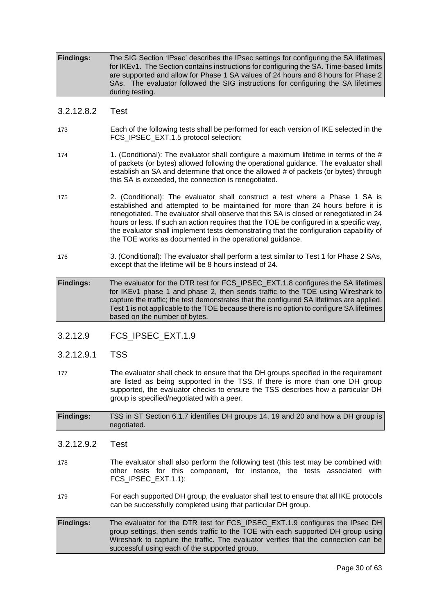**Findings:** The SIG Section 'IPsec' describes the IPsec settings for configuring the SA lifetimes for IKEv1. The Section contains instructions for configuring the SA. Time-based limits are supported and allow for Phase 1 SA values of 24 hours and 8 hours for Phase 2 SAs. The evaluator followed the SIG instructions for configuring the SA lifetimes during testing.

### 3.2.12.8.2 Test

- 173 Each of the following tests shall be performed for each version of IKE selected in the FCS\_IPSEC\_EXT.1.5 protocol selection:
- 174 1. (Conditional): The evaluator shall configure a maximum lifetime in terms of the # of packets (or bytes) allowed following the operational guidance. The evaluator shall establish an SA and determine that once the allowed # of packets (or bytes) through this SA is exceeded, the connection is renegotiated.
- 175 2. (Conditional): The evaluator shall construct a test where a Phase 1 SA is established and attempted to be maintained for more than 24 hours before it is renegotiated. The evaluator shall observe that this SA is closed or renegotiated in 24 hours or less. If such an action requires that the TOE be configured in a specific way, the evaluator shall implement tests demonstrating that the configuration capability of the TOE works as documented in the operational guidance.
- 176 3. (Conditional): The evaluator shall perform a test similar to Test 1 for Phase 2 SAs, except that the lifetime will be 8 hours instead of 24.
- **Findings:** The evaluator for the DTR test for FCS\_IPSEC\_EXT.1.8 configures the SA lifetimes for IKEv1 phase 1 and phase 2, then sends traffic to the TOE using Wireshark to capture the traffic; the test demonstrates that the configured SA lifetimes are applied. Test 1 is not applicable to the TOE because there is no option to configure SA lifetimes based on the number of bytes.
- 3.2.12.9 FCS\_IPSEC\_EXT.1.9
- 3.2.12.9.1 TSS
- 177 The evaluator shall check to ensure that the DH groups specified in the requirement are listed as being supported in the TSS. If there is more than one DH group supported, the evaluator checks to ensure the TSS describes how a particular DH group is specified/negotiated with a peer.

**Findings:** TSS in ST Section 6.1.7 identifies DH groups 14, 19 and 20 and how a DH group is negotiated.

- 3.2.12.9.2 Test
- 178 The evaluator shall also perform the following test (this test may be combined with other tests for this component, for instance, the tests associated with FCS\_IPSEC\_EXT.1.1):
- 179 For each supported DH group, the evaluator shall test to ensure that all IKE protocols can be successfully completed using that particular DH group.
- **Findings:** The evaluator for the DTR test for FCS\_IPSEC\_EXT.1.9 configures the IPsec DH group settings, then sends traffic to the TOE with each supported DH group using Wireshark to capture the traffic. The evaluator verifies that the connection can be successful using each of the supported group.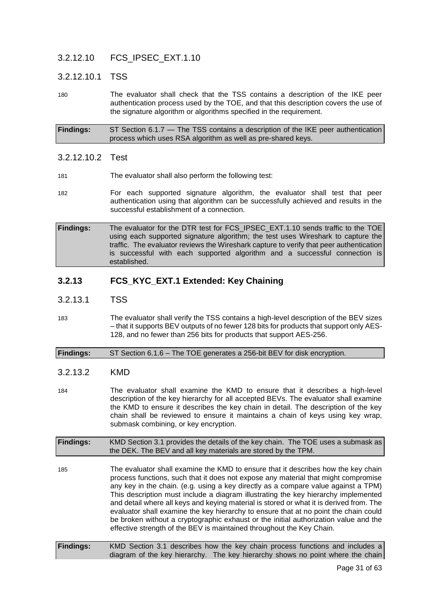### 3.2.12.10 FCS\_IPSEC\_EXT.1.10

### 3.2.12.10.1 TSS

180 The evaluator shall check that the TSS contains a description of the IKE peer authentication process used by the TOE, and that this description covers the use of the signature algorithm or algorithms specified in the requirement.

**Findings:** ST Section 6.1.7 — The TSS contains a description of the IKE peer authentication process which uses RSA algorithm as well as pre-shared keys.

### 3.2.12.10.2 Test

- 181 The evaluator shall also perform the following test:
- 182 For each supported signature algorithm, the evaluator shall test that peer authentication using that algorithm can be successfully achieved and results in the successful establishment of a connection.
- **Findings:** The evaluator for the DTR test for FCS\_IPSEC\_EXT.1.10 sends traffic to the TOE using each supported signature algorithm; the test uses Wireshark to capture the traffic. The evaluator reviews the Wireshark capture to verify that peer authentication is successful with each supported algorithm and a successful connection is established.

### **3.2.13 FCS\_KYC\_EXT.1 Extended: Key Chaining**

- 3.2.13.1 TSS
- 183 The evaluator shall verify the TSS contains a high-level description of the BEV sizes – that it supports BEV outputs of no fewer 128 bits for products that support only AES-128, and no fewer than 256 bits for products that support AES-256.

#### **Findings:** ST Section 6.1.6 – The TOE generates a 256-bit BEV for disk encryption.

### 3.2.13.2 KMD

184 The evaluator shall examine the KMD to ensure that it describes a high-level description of the key hierarchy for all accepted BEVs. The evaluator shall examine the KMD to ensure it describes the key chain in detail. The description of the key chain shall be reviewed to ensure it maintains a chain of keys using key wrap, submask combining, or key encryption.

**Findings:** KMD Section 3.1 provides the details of the key chain. The TOE uses a submask as the DEK. The BEV and all key materials are stored by the TPM.

- 185 The evaluator shall examine the KMD to ensure that it describes how the key chain process functions, such that it does not expose any material that might compromise any key in the chain. (e.g. using a key directly as a compare value against a TPM) This description must include a diagram illustrating the key hierarchy implemented and detail where all keys and keying material is stored or what it is derived from. The evaluator shall examine the key hierarchy to ensure that at no point the chain could be broken without a cryptographic exhaust or the initial authorization value and the effective strength of the BEV is maintained throughout the Key Chain.
- **Findings:** KMD Section 3.1 describes how the key chain process functions and includes a diagram of the key hierarchy. The key hierarchy shows no point where the chain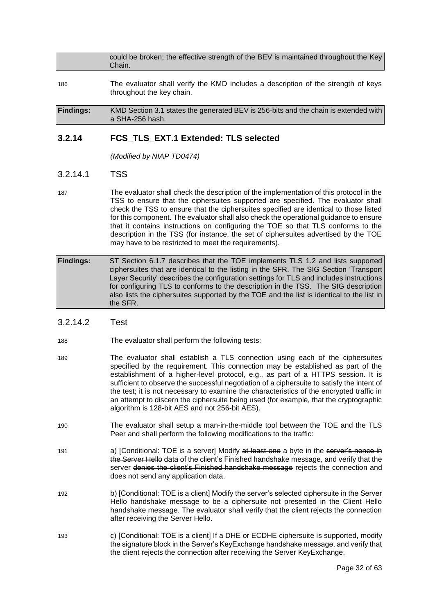|        | could be broken; the effective strength of the BEV is maintained throughout the Key |  |
|--------|-------------------------------------------------------------------------------------|--|
| Chain. |                                                                                     |  |

186 The evaluator shall verify the KMD includes a description of the strength of keys throughout the key chain.

**Findings:** KMD Section 3.1 states the generated BEV is 256-bits and the chain is extended with a SHA-256 hash.

### **3.2.14 FCS\_TLS\_EXT.1 Extended: TLS selected**

*(Modified by NIAP TD0474)*

### 3.2.14.1 TSS

- 187 The evaluator shall check the description of the implementation of this protocol in the TSS to ensure that the ciphersuites supported are specified. The evaluator shall check the TSS to ensure that the ciphersuites specified are identical to those listed for this component. The evaluator shall also check the operational guidance to ensure that it contains instructions on configuring the TOE so that TLS conforms to the description in the TSS (for instance, the set of ciphersuites advertised by the TOE may have to be restricted to meet the requirements).
- **Findings:** ST Section 6.1.7 describes that the TOE implements TLS 1.2 and lists supported ciphersuites that are identical to the listing in the SFR. The SIG Section 'Transport Layer Security' describes the configuration settings for TLS and includes instructions for configuring TLS to conforms to the description in the TSS. The SIG description also lists the ciphersuites supported by the TOE and the list is identical to the list in the SFR.

### 3.2.14.2 Test

- 188 The evaluator shall perform the following tests:
- 189 The evaluator shall establish a TLS connection using each of the ciphersuites specified by the requirement. This connection may be established as part of the establishment of a higher-level protocol, e.g., as part of a HTTPS session. It is sufficient to observe the successful negotiation of a ciphersuite to satisfy the intent of the test; it is not necessary to examine the characteristics of the encrypted traffic in an attempt to discern the ciphersuite being used (for example, that the cryptographic algorithm is 128-bit AES and not 256-bit AES).
- 190 The evaluator shall setup a man-in-the-middle tool between the TOE and the TLS Peer and shall perform the following modifications to the traffic:
- 191 **a) [Conditional: TOE is a server] Modify at least one a byte in the server's nonce in** the Server Helle data of the client's Finished handshake message, and verify that the server denies the client's Finished handshake message rejects the connection and does not send any application data.
- 192 b) [Conditional: TOE is a client] Modify the server's selected ciphersuite in the Server Hello handshake message to be a ciphersuite not presented in the Client Hello handshake message. The evaluator shall verify that the client rejects the connection after receiving the Server Hello.
- 193 c) [Conditional: TOE is a client] If a DHE or ECDHE ciphersuite is supported, modify the signature block in the Server's KeyExchange handshake message, and verify that the client rejects the connection after receiving the Server KeyExchange.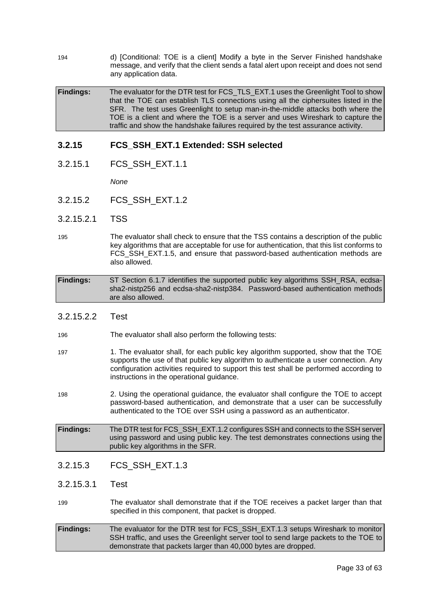194 d) [Conditional: TOE is a client] Modify a byte in the Server Finished handshake message, and verify that the client sends a fatal alert upon receipt and does not send any application data.

**Findings:** The evaluator for the DTR test for FCS\_TLS\_EXT.1 uses the Greenlight Tool to show that the TOE can establish TLS connections using all the ciphersuites listed in the SFR. The test uses Greenlight to setup man-in-the-middle attacks both where the TOE is a client and where the TOE is a server and uses Wireshark to capture the traffic and show the handshake failures required by the test assurance activity.

### **3.2.15 FCS\_SSH\_EXT.1 Extended: SSH selected**

3.2.15.1 FCS\_SSH\_EXT.1.1

*None*

- 3.2.15.2 FCS\_SSH\_EXT.1.2
- 3.2.15.2.1 TSS
- 195 The evaluator shall check to ensure that the TSS contains a description of the public key algorithms that are acceptable for use for authentication, that this list conforms to FCS SSH EXT.1.5, and ensure that password-based authentication methods are also allowed.
- **Findings:** ST Section 6.1.7 identifies the supported public key algorithms SSH\_RSA, ecdsasha2-nistp256 and ecdsa-sha2-nistp384. Password-based authentication methods are also allowed.
- 3.2.15.2.2 Test
- 196 The evaluator shall also perform the following tests:
- 197 1. The evaluator shall, for each public key algorithm supported, show that the TOE supports the use of that public key algorithm to authenticate a user connection. Any configuration activities required to support this test shall be performed according to instructions in the operational guidance.
- 198 2. Using the operational guidance, the evaluator shall configure the TOE to accept password-based authentication, and demonstrate that a user can be successfully authenticated to the TOE over SSH using a password as an authenticator.
- **Findings:** The DTR test for FCS\_SSH\_EXT.1.2 configures SSH and connects to the SSH server using password and using public key. The test demonstrates connections using the public key algorithms in the SFR.

### 3.2.15.3 FCS\_SSH\_EXT.1.3

3.2.15.3.1 Test

- 199 The evaluator shall demonstrate that if the TOE receives a packet larger than that specified in this component, that packet is dropped.
- **Findings:** The evaluator for the DTR test for FCS\_SSH\_EXT.1.3 setups Wireshark to monitor SSH traffic, and uses the Greenlight server tool to send large packets to the TOE to demonstrate that packets larger than 40,000 bytes are dropped.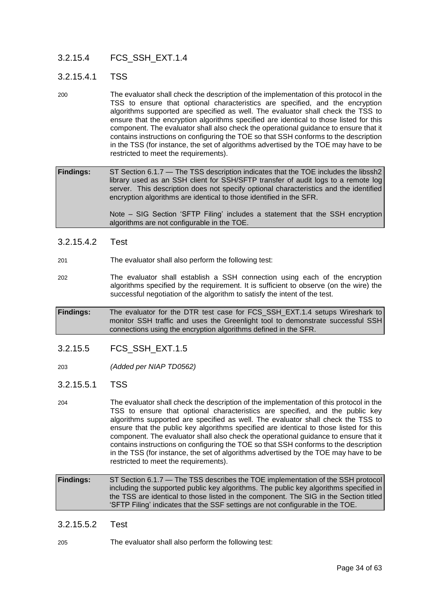### 3.2.15.4 FCS\_SSH\_EXT.1.4

### 3.2.15.4.1 TSS

200 The evaluator shall check the description of the implementation of this protocol in the TSS to ensure that optional characteristics are specified, and the encryption algorithms supported are specified as well. The evaluator shall check the TSS to ensure that the encryption algorithms specified are identical to those listed for this component. The evaluator shall also check the operational guidance to ensure that it contains instructions on configuring the TOE so that SSH conforms to the description in the TSS (for instance, the set of algorithms advertised by the TOE may have to be restricted to meet the requirements).

**Findings:** ST Section 6.1.7 — The TSS description indicates that the TOE includes the libssh2 library used as an SSH client for SSH/SFTP transfer of audit logs to a remote log server. This description does not specify optional characteristics and the identified encryption algorithms are identical to those identified in the SFR.

> Note – SIG Section 'SFTP Filing' includes a statement that the SSH encryption algorithms are not configurable in the TOE.

### 3.2.15.4.2 Test

- 201 The evaluator shall also perform the following test:
- 202 The evaluator shall establish a SSH connection using each of the encryption algorithms specified by the requirement. It is sufficient to observe (on the wire) the successful negotiation of the algorithm to satisfy the intent of the test.

**Findings:** The evaluator for the DTR test case for FCS\_SSH\_EXT.1.4 setups Wireshark to monitor SSH traffic and uses the Greenlight tool to demonstrate successful SSH connections using the encryption algorithms defined in the SFR.

### 3.2.15.5 FCS\_SSH\_EXT.1.5

203 *(Added per NIAP TD0562)*

### 3.2.15.5.1 TSS

204 The evaluator shall check the description of the implementation of this protocol in the TSS to ensure that optional characteristics are specified, and the public key algorithms supported are specified as well. The evaluator shall check the TSS to ensure that the public key algorithms specified are identical to those listed for this component. The evaluator shall also check the operational guidance to ensure that it contains instructions on configuring the TOE so that SSH conforms to the description in the TSS (for instance, the set of algorithms advertised by the TOE may have to be restricted to meet the requirements).

**Findings:** ST Section 6.1.7 — The TSS describes the TOE implementation of the SSH protocol including the supported public key algorithms. The public key algorithms specified in the TSS are identical to those listed in the component. The SIG in the Section titled 'SFTP Filing' indicates that the SSF settings are not configurable in the TOE.

### 3.2.15.5.2 Test

205 The evaluator shall also perform the following test: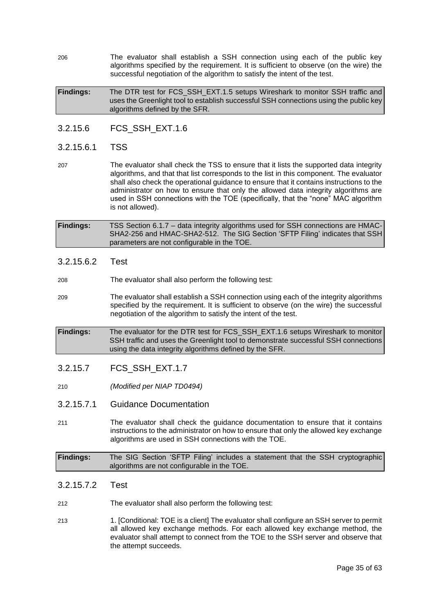206 The evaluator shall establish a SSH connection using each of the public key algorithms specified by the requirement. It is sufficient to observe (on the wire) the successful negotiation of the algorithm to satisfy the intent of the test.

**Findings:** The DTR test for FCS\_SSH\_EXT.1.5 setups Wireshark to monitor SSH traffic and uses the Greenlight tool to establish successful SSH connections using the public key algorithms defined by the SFR.

3.2.15.6 FCS\_SSH\_EXT.1.6

### 3.2.15.6.1 TSS

207 The evaluator shall check the TSS to ensure that it lists the supported data integrity algorithms, and that that list corresponds to the list in this component. The evaluator shall also check the operational guidance to ensure that it contains instructions to the administrator on how to ensure that only the allowed data integrity algorithms are used in SSH connections with the TOE (specifically, that the "none" MAC algorithm is not allowed).

**Findings:** TSS Section 6.1.7 – data integrity algorithms used for SSH connections are HMAC-SHA2-256 and HMAC-SHA2-512. The SIG Section 'SFTP Filing' indicates that SSH parameters are not configurable in the TOE.

### 3.2.15.6.2 Test

- 208 The evaluator shall also perform the following test:
- 209 The evaluator shall establish a SSH connection using each of the integrity algorithms specified by the requirement. It is sufficient to observe (on the wire) the successful negotiation of the algorithm to satisfy the intent of the test.
- **Findings:** The evaluator for the DTR test for FCS\_SSH\_EXT.1.6 setups Wireshark to monitor SSH traffic and uses the Greenlight tool to demonstrate successful SSH connections using the data integrity algorithms defined by the SFR.

### 3.2.15.7 FCS\_SSH\_EXT.1.7

- 210 *(Modified per NIAP TD0494)*
- 3.2.15.7.1 Guidance Documentation
- 211 The evaluator shall check the guidance documentation to ensure that it contains instructions to the administrator on how to ensure that only the allowed key exchange algorithms are used in SSH connections with the TOE.

**Findings:** The SIG Section 'SFTP Filing' includes a statement that the SSH cryptographic algorithms are not configurable in the TOE.

### 3.2.15.7.2 Test

212 The evaluator shall also perform the following test:

213 1. [Conditional: TOE is a client] The evaluator shall configure an SSH server to permit all allowed key exchange methods. For each allowed key exchange method, the evaluator shall attempt to connect from the TOE to the SSH server and observe that the attempt succeeds.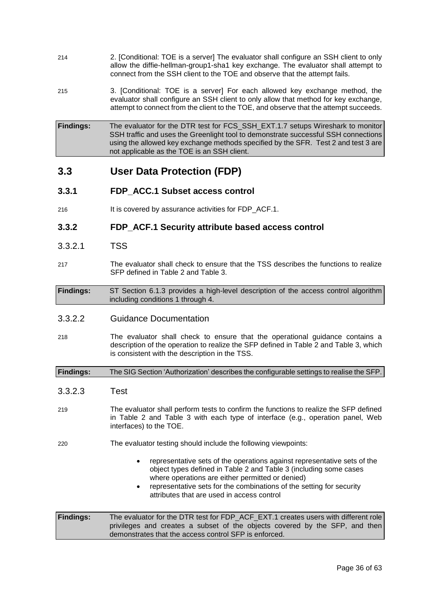- 214 2. [Conditional: TOE is a server] The evaluator shall configure an SSH client to only allow the diffie-hellman-group1-sha1 key exchange. The evaluator shall attempt to connect from the SSH client to the TOE and observe that the attempt fails.
- 215 3. [Conditional: TOE is a server] For each allowed key exchange method, the evaluator shall configure an SSH client to only allow that method for key exchange, attempt to connect from the client to the TOE, and observe that the attempt succeeds.
- **Findings:** The evaluator for the DTR test for FCS\_SSH\_EXT.1.7 setups Wireshark to monitor SSH traffic and uses the Greenlight tool to demonstrate successful SSH connections using the allowed key exchange methods specified by the SFR. Test 2 and test 3 are not applicable as the TOE is an SSH client.

### <span id="page-35-0"></span>**3.3 User Data Protection (FDP)**

### **3.3.1 FDP\_ACC.1 Subset access control**

216 It is covered by assurance activities for FDP ACF.1.

### **3.3.2 FDP\_ACF.1 Security attribute based access control**

- 3.3.2.1 TSS
- 217 The evaluator shall check to ensure that the TSS describes the functions to realize SFP defined in Table 2 and Table 3.

**Findings:** ST Section 6.1.3 provides a high-level description of the access control algorithm including conditions 1 through 4.

### 3.3.2.2 Guidance Documentation

218 The evaluator shall check to ensure that the operational guidance contains a description of the operation to realize the SFP defined in Table 2 and Table 3, which is consistent with the description in the TSS.

**Findings:** The SIG Section 'Authorization' describes the configurable settings to realise the SFP.

- 3.3.2.3 Test
- 219 The evaluator shall perform tests to confirm the functions to realize the SFP defined in Table 2 and Table 3 with each type of interface (e.g., operation panel, Web interfaces) to the TOE.
- 220 The evaluator testing should include the following viewpoints:
	- representative sets of the operations against representative sets of the object types defined in Table 2 and Table 3 (including some cases where operations are either permitted or denied)
	- representative sets for the combinations of the setting for security attributes that are used in access control

**Findings:** The evaluator for the DTR test for FDP\_ACF\_EXT.1 creates users with different role privileges and creates a subset of the objects covered by the SFP, and then demonstrates that the access control SFP is enforced.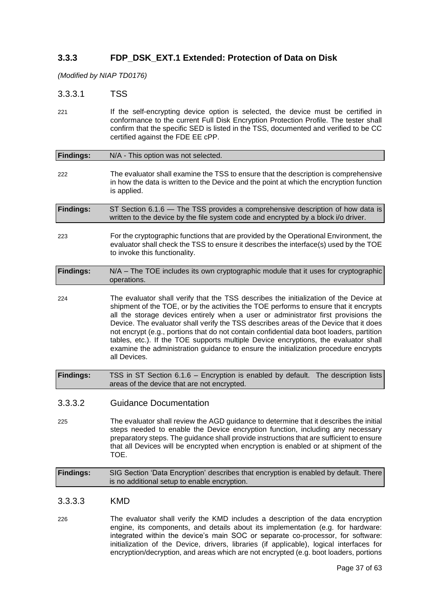### **3.3.3 FDP\_DSK\_EXT.1 Extended: Protection of Data on Disk**

*(Modified by NIAP TD0176)*

3.3.3.1 TSS

221 If the self-encrypting device option is selected, the device must be certified in conformance to the current Full Disk Encryption Protection Profile. The tester shall confirm that the specific SED is listed in the TSS, documented and verified to be CC certified against the FDE EE cPP.

| <b>Findings:</b> | N/A - This option was not selected.                                                                                                                                                                                                                                                                                                                                                                                                                                                                                                                                                                                                                      |
|------------------|----------------------------------------------------------------------------------------------------------------------------------------------------------------------------------------------------------------------------------------------------------------------------------------------------------------------------------------------------------------------------------------------------------------------------------------------------------------------------------------------------------------------------------------------------------------------------------------------------------------------------------------------------------|
| 222              | The evaluator shall examine the TSS to ensure that the description is comprehensive<br>in how the data is written to the Device and the point at which the encryption function<br>is applied.                                                                                                                                                                                                                                                                                                                                                                                                                                                            |
| <b>Findings:</b> | ST Section 6.1.6 - The TSS provides a comprehensive description of how data is<br>written to the device by the file system code and encrypted by a block i/o driver.                                                                                                                                                                                                                                                                                                                                                                                                                                                                                     |
| 223              | For the cryptographic functions that are provided by the Operational Environment, the<br>evaluator shall check the TSS to ensure it describes the interface(s) used by the TOE<br>to invoke this functionality.                                                                                                                                                                                                                                                                                                                                                                                                                                          |
| <b>Findings:</b> | N/A - The TOE includes its own cryptographic module that it uses for cryptographic<br>operations.                                                                                                                                                                                                                                                                                                                                                                                                                                                                                                                                                        |
| 224              | The evaluator shall verify that the TSS describes the initialization of the Device at<br>shipment of the TOE, or by the activities the TOE performs to ensure that it encrypts<br>all the storage devices entirely when a user or administrator first provisions the<br>Device. The evaluator shall verify the TSS describes areas of the Device that it does<br>not encrypt (e.g., portions that do not contain confidential data boot loaders, partition<br>tables, etc.). If the TOE supports multiple Device encryptions, the evaluator shall<br>examine the administration guidance to ensure the initialization procedure encrypts<br>all Devices. |
| <b>Findings:</b> | TSS in ST Section 6.1.6 - Encryption is enabled by default. The description lists<br>areas of the device that are not encrypted.                                                                                                                                                                                                                                                                                                                                                                                                                                                                                                                         |
| 3.3.3.2          | <b>Guidance Documentation</b>                                                                                                                                                                                                                                                                                                                                                                                                                                                                                                                                                                                                                            |
| 225              | The evaluator shall review the AGD guidance to determine that it describes the initial<br>steps needed to enable the Device encryption function, including any necessary<br>preparatory steps. The guidance shall provide instructions that are sufficient to ensure<br>that all Devices will be encrypted when encryption is enabled or at shipment of the<br>TOE.                                                                                                                                                                                                                                                                                      |
| <b>Findings:</b> | SIG Section 'Data Encryption' describes that encryption is enabled by default. There<br>is no additional setup to enable encryption.                                                                                                                                                                                                                                                                                                                                                                                                                                                                                                                     |
| 3.3.3.3          | <b>KMD</b>                                                                                                                                                                                                                                                                                                                                                                                                                                                                                                                                                                                                                                               |
| 226              | The evaluator shall verify the KMD includes a description of the data encryption<br>engine, its components, and details about its implementation (e.g. for hardware:                                                                                                                                                                                                                                                                                                                                                                                                                                                                                     |

integrated within the device's main SOC or separate co-processor, for software: initialization of the Device, drivers, libraries (if applicable), logical interfaces for encryption/decryption, and areas which are not encrypted (e.g. boot loaders, portions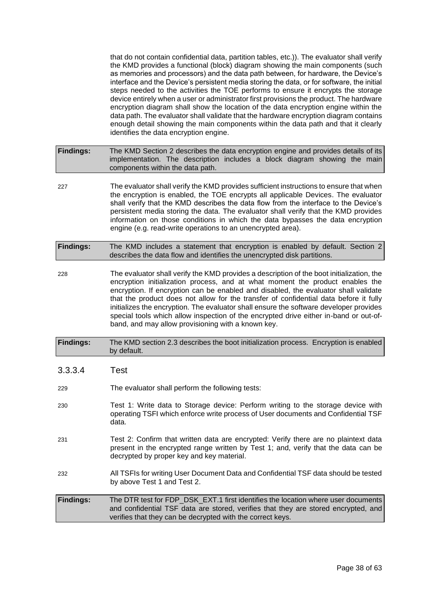that do not contain confidential data, partition tables, etc.)). The evaluator shall verify the KMD provides a functional (block) diagram showing the main components (such as memories and processors) and the data path between, for hardware, the Device's interface and the Device's persistent media storing the data, or for software, the initial steps needed to the activities the TOE performs to ensure it encrypts the storage device entirely when a user or administrator first provisions the product. The hardware encryption diagram shall show the location of the data encryption engine within the data path. The evaluator shall validate that the hardware encryption diagram contains enough detail showing the main components within the data path and that it clearly identifies the data encryption engine.

**Findings:** The KMD Section 2 describes the data encryption engine and provides details of its implementation. The description includes a block diagram showing the main components within the data path.

227 The evaluator shall verify the KMD provides sufficient instructions to ensure that when the encryption is enabled, the TOE encrypts all applicable Devices. The evaluator shall verify that the KMD describes the data flow from the interface to the Device's persistent media storing the data. The evaluator shall verify that the KMD provides information on those conditions in which the data bypasses the data encryption engine (e.g. read-write operations to an unencrypted area).

| <b>Findings:</b> | The KMD includes a statement that encryption is enabled by default. Section 2 |
|------------------|-------------------------------------------------------------------------------|
|                  | describes the data flow and identifies the unencrypted disk partitions.       |

228 The evaluator shall verify the KMD provides a description of the boot initialization, the encryption initialization process, and at what moment the product enables the encryption. If encryption can be enabled and disabled, the evaluator shall validate that the product does not allow for the transfer of confidential data before it fully initializes the encryption. The evaluator shall ensure the software developer provides special tools which allow inspection of the encrypted drive either in-band or out-ofband, and may allow provisioning with a known key.

### **Findings:** The KMD section 2.3 describes the boot initialization process. Encryption is enabled by default.

### 3.3.3.4 Test

- 229 The evaluator shall perform the following tests:
- 230 Test 1: Write data to Storage device: Perform writing to the storage device with operating TSFI which enforce write process of User documents and Confidential TSF data.
- 231 Test 2: Confirm that written data are encrypted: Verify there are no plaintext data present in the encrypted range written by Test 1; and, verify that the data can be decrypted by proper key and key material.
- 232 All TSFIs for writing User Document Data and Confidential TSF data should be tested by above Test 1 and Test 2.
- **Findings:** The DTR test for FDP\_DSK\_EXT.1 first identifies the location where user documents and confidential TSF data are stored, verifies that they are stored encrypted, and verifies that they can be decrypted with the correct keys.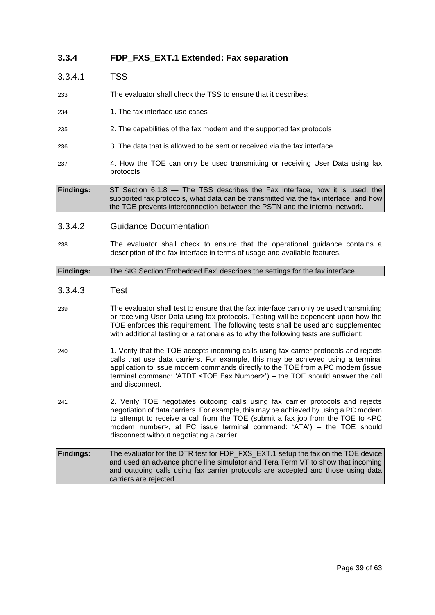### **3.3.4 FDP\_FXS\_EXT.1 Extended: Fax separation**

| 3.3.4.1          | TSS                                                                                                                                                                                                                                                |
|------------------|----------------------------------------------------------------------------------------------------------------------------------------------------------------------------------------------------------------------------------------------------|
| 233              | The evaluator shall check the TSS to ensure that it describes:                                                                                                                                                                                     |
| 234              | 1. The fax interface use cases                                                                                                                                                                                                                     |
| 235              | 2. The capabilities of the fax modem and the supported fax protocols                                                                                                                                                                               |
| 236              | 3. The data that is allowed to be sent or received via the fax interface                                                                                                                                                                           |
| 237              | 4. How the TOE can only be used transmitting or receiving User Data using fax<br>protocols                                                                                                                                                         |
| <b>Findings:</b> | ST Section 6.1.8 - The TSS describes the Fax interface, how it is used, the<br>supported fax protocols, what data can be transmitted via the fax interface, and how<br>the TOE prevents interconnection between the PSTN and the internal network. |

#### 3.3.4.2 Guidance Documentation

238 The evaluator shall check to ensure that the operational guidance contains a description of the fax interface in terms of usage and available features.

### **Findings:** The SIG Section 'Embedded Fax' describes the settings for the fax interface.

#### 3.3.4.3 Test

- 239 The evaluator shall test to ensure that the fax interface can only be used transmitting or receiving User Data using fax protocols. Testing will be dependent upon how the TOE enforces this requirement. The following tests shall be used and supplemented with additional testing or a rationale as to why the following tests are sufficient:
- 240 1. Verify that the TOE accepts incoming calls using fax carrier protocols and rejects calls that use data carriers. For example, this may be achieved using a terminal application to issue modem commands directly to the TOE from a PC modem (issue terminal command: 'ATDT <TOE Fax Number>') – the TOE should answer the call and disconnect.
- 241 2. Verify TOE negotiates outgoing calls using fax carrier protocols and rejects negotiation of data carriers. For example, this may be achieved by using a PC modem to attempt to receive a call from the TOE (submit a fax job from the TOE to <PC modem number>, at PC issue terminal command: 'ATA') – the TOE should disconnect without negotiating a carrier.

| <b>Findings:</b> | The evaluator for the DTR test for FDP_FXS_EXT.1 setup the fax on the TOE device |
|------------------|----------------------------------------------------------------------------------|
|                  | and used an advance phone line simulator and Tera Term VT to show that incoming  |
|                  | and outgoing calls using fax carrier protocols are accepted and those using data |
|                  | carriers are rejected.                                                           |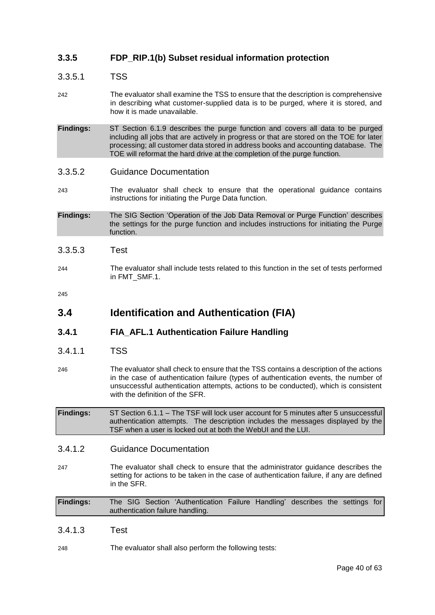### **3.3.5 FDP\_RIP.1(b) Subset residual information protection**

### 3.3.5.1 TSS

- 242 The evaluator shall examine the TSS to ensure that the description is comprehensive in describing what customer-supplied data is to be purged, where it is stored, and how it is made unavailable.
- **Findings:** ST Section 6.1.9 describes the purge function and covers all data to be purged including all jobs that are actively in progress or that are stored on the TOE for later processing; all customer data stored in address books and accounting database. The TOE will reformat the hard drive at the completion of the purge function.
- 3.3.5.2 Guidance Documentation
- 243 The evaluator shall check to ensure that the operational guidance contains instructions for initiating the Purge Data function.
- **Findings:** The SIG Section 'Operation of the Job Data Removal or Purge Function' describes the settings for the purge function and includes instructions for initiating the Purge function.
- 3.3.5.3 Test
- 244 The evaluator shall include tests related to this function in the set of tests performed in FMT\_SMF.1.

245

### <span id="page-39-0"></span>**3.4 Identification and Authentication (FIA)**

### **3.4.1 FIA\_AFL.1 Authentication Failure Handling**

- 3.4.1.1 TSS
- 246 The evaluator shall check to ensure that the TSS contains a description of the actions in the case of authentication failure (types of authentication events, the number of unsuccessful authentication attempts, actions to be conducted), which is consistent with the definition of the SFR.

**Findings:** ST Section 6.1.1 – The TSF will lock user account for 5 minutes after 5 unsuccessful authentication attempts. The description includes the messages displayed by the TSF when a user is locked out at both the WebUI and the LUI.

- 3.4.1.2 Guidance Documentation
- 247 The evaluator shall check to ensure that the administrator guidance describes the setting for actions to be taken in the case of authentication failure, if any are defined in the SFR.

**Findings:** The SIG Section 'Authentication Failure Handling' describes the settings for authentication failure handling.

- 3.4.1.3 Test
- 248 The evaluator shall also perform the following tests: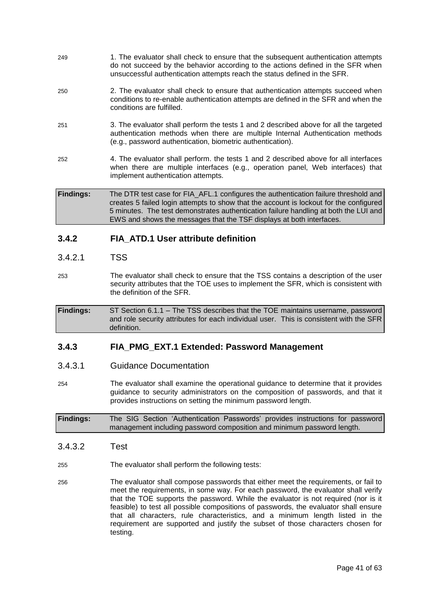- 249 1. The evaluator shall check to ensure that the subsequent authentication attempts do not succeed by the behavior according to the actions defined in the SFR when unsuccessful authentication attempts reach the status defined in the SFR.
- 250 2. The evaluator shall check to ensure that authentication attempts succeed when conditions to re-enable authentication attempts are defined in the SFR and when the conditions are fulfilled.
- 251 3. The evaluator shall perform the tests 1 and 2 described above for all the targeted authentication methods when there are multiple Internal Authentication methods (e.g., password authentication, biometric authentication).
- 252 4. The evaluator shall perform. the tests 1 and 2 described above for all interfaces when there are multiple interfaces (e.g., operation panel, Web interfaces) that implement authentication attempts.

**Findings:** The DTR test case for FIA\_AFL.1 configures the authentication failure threshold and creates 5 failed login attempts to show that the account is lockout for the configured 5 minutes. The test demonstrates authentication failure handling at both the LUI and EWS and shows the messages that the TSF displays at both interfaces.

### **3.4.2 FIA\_ATD.1 User attribute definition**

- 3.4.2.1 TSS
- 253 The evaluator shall check to ensure that the TSS contains a description of the user security attributes that the TOE uses to implement the SFR, which is consistent with the definition of the SFR.

**Findings:** ST Section 6.1.1 – The TSS describes that the TOE maintains username, password and role security attributes for each individual user. This is consistent with the SFR definition.

### **3.4.3 FIA\_PMG\_EXT.1 Extended: Password Management**

- 3.4.3.1 Guidance Documentation
- 254 The evaluator shall examine the operational guidance to determine that it provides guidance to security administrators on the composition of passwords, and that it provides instructions on setting the minimum password length.

**Findings:** The SIG Section 'Authentication Passwords' provides instructions for password management including password composition and minimum password length.

- 3.4.3.2 Test
- 255 The evaluator shall perform the following tests:
- 256 The evaluator shall compose passwords that either meet the requirements, or fail to meet the requirements, in some way. For each password, the evaluator shall verify that the TOE supports the password. While the evaluator is not required (nor is it feasible) to test all possible compositions of passwords, the evaluator shall ensure that all characters, rule characteristics, and a minimum length listed in the requirement are supported and justify the subset of those characters chosen for testing.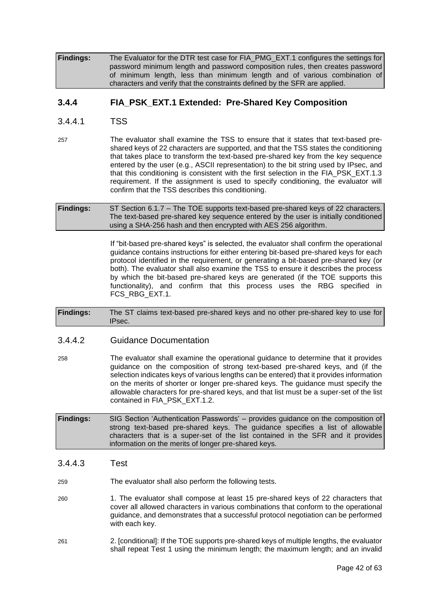**Findings:** The Evaluator for the DTR test case for FIA\_PMG\_EXT.1 configures the settings for password minimum length and password composition rules, then creates password of minimum length, less than minimum length and of various combination of characters and verify that the constraints defined by the SFR are applied.

### **3.4.4 FIA\_PSK\_EXT.1 Extended: Pre-Shared Key Composition**

- 3.4.4.1 TSS
- 257 The evaluator shall examine the TSS to ensure that it states that text-based preshared keys of 22 characters are supported, and that the TSS states the conditioning that takes place to transform the text-based pre-shared key from the key sequence entered by the user (e.g., ASCII representation) to the bit string used by IPsec, and that this conditioning is consistent with the first selection in the FIA\_PSK\_EXT.1.3 requirement. If the assignment is used to specify conditioning, the evaluator will confirm that the TSS describes this conditioning.
- **Findings:** ST Section 6.1.7 The TOE supports text-based pre-shared keys of 22 characters. The text-based pre-shared key sequence entered by the user is initially conditioned using a SHA-256 hash and then encrypted with AES 256 algorithm.

If "bit-based pre-shared keys" is selected, the evaluator shall confirm the operational guidance contains instructions for either entering bit-based pre-shared keys for each protocol identified in the requirement, or generating a bit-based pre-shared key (or both). The evaluator shall also examine the TSS to ensure it describes the process by which the bit-based pre-shared keys are generated (if the TOE supports this functionality), and confirm that this process uses the RBG specified in FCS\_RBG\_EXT.1.

**Findings:** The ST claims text-based pre-shared keys and no other pre-shared key to use for IPsec.

### 3.4.4.2 Guidance Documentation

- 258 The evaluator shall examine the operational guidance to determine that it provides guidance on the composition of strong text-based pre-shared keys, and (if the selection indicates keys of various lengths can be entered) that it provides information on the merits of shorter or longer pre-shared keys. The guidance must specify the allowable characters for pre-shared keys, and that list must be a super-set of the list contained in FIA\_PSK\_EXT.1.2.
- **Findings:** SIG Section 'Authentication Passwords' provides guidance on the composition of strong text-based pre-shared keys. The guidance specifies a list of allowable characters that is a super-set of the list contained in the SFR and it provides information on the merits of longer pre-shared keys.
- 3.4.4.3 Test

259 The evaluator shall also perform the following tests.

- 260 1. The evaluator shall compose at least 15 pre-shared keys of 22 characters that cover all allowed characters in various combinations that conform to the operational guidance, and demonstrates that a successful protocol negotiation can be performed with each key.
- 261 2. [conditional]: If the TOE supports pre-shared keys of multiple lengths, the evaluator shall repeat Test 1 using the minimum length; the maximum length; and an invalid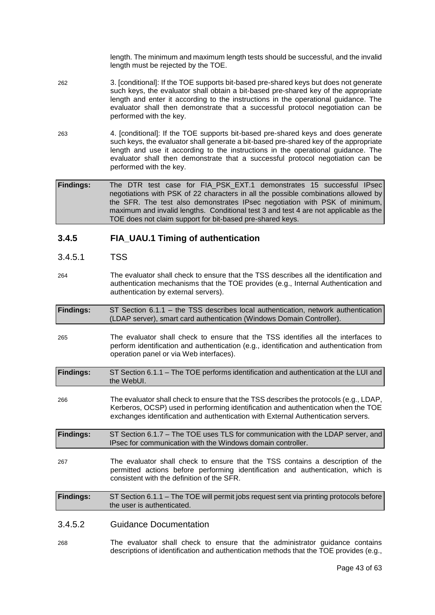length. The minimum and maximum length tests should be successful, and the invalid length must be rejected by the TOE.

- 262 3. [conditional]: If the TOE supports bit-based pre-shared keys but does not generate such keys, the evaluator shall obtain a bit-based pre-shared key of the appropriate length and enter it according to the instructions in the operational guidance. The evaluator shall then demonstrate that a successful protocol negotiation can be performed with the key.
- 263 4. [conditional]: If the TOE supports bit-based pre-shared keys and does generate such keys, the evaluator shall generate a bit-based pre-shared key of the appropriate length and use it according to the instructions in the operational guidance. The evaluator shall then demonstrate that a successful protocol negotiation can be performed with the key.

**Findings:** The DTR test case for FIA\_PSK\_EXT.1 demonstrates 15 successful IPsec negotiations with PSK of 22 characters in all the possible combinations allowed by the SFR. The test also demonstrates IPsec negotiation with PSK of minimum, maximum and invalid lengths. Conditional test 3 and test 4 are not applicable as the TOE does not claim support for bit-based pre-shared keys.

### **3.4.5 FIA\_UAU.1 Timing of authentication**

### 3.4.5.1 TSS

264 The evaluator shall check to ensure that the TSS describes all the identification and authentication mechanisms that the TOE provides (e.g., Internal Authentication and authentication by external servers).

| <b>Findings:</b> | ST Section 6.1.1 – the TSS describes local authentication, network authentication |  |  |  |
|------------------|-----------------------------------------------------------------------------------|--|--|--|
|                  | (LDAP server), smart card authentication (Windows Domain Controller).             |  |  |  |

- 265 The evaluator shall check to ensure that the TSS identifies all the interfaces to perform identification and authentication (e.g., identification and authentication from operation panel or via Web interfaces).
- **Findings:** ST Section 6.1.1 The TOE performs identification and authentication at the LUI and the WebUI.
- 266 The evaluator shall check to ensure that the TSS describes the protocols (e.g., LDAP, Kerberos, OCSP) used in performing identification and authentication when the TOE exchanges identification and authentication with External Authentication servers.

**Findings:** ST Section 6.1.7 – The TOE uses TLS for communication with the LDAP server, and IPsec for communication with the Windows domain controller.

267 The evaluator shall check to ensure that the TSS contains a description of the permitted actions before performing identification and authentication, which is consistent with the definition of the SFR.

**Findings:** ST Section 6.1.1 – The TOE will permit jobs request sent via printing protocols before the user is authenticated.

### 3.4.5.2 Guidance Documentation

268 The evaluator shall check to ensure that the administrator guidance contains descriptions of identification and authentication methods that the TOE provides (e.g.,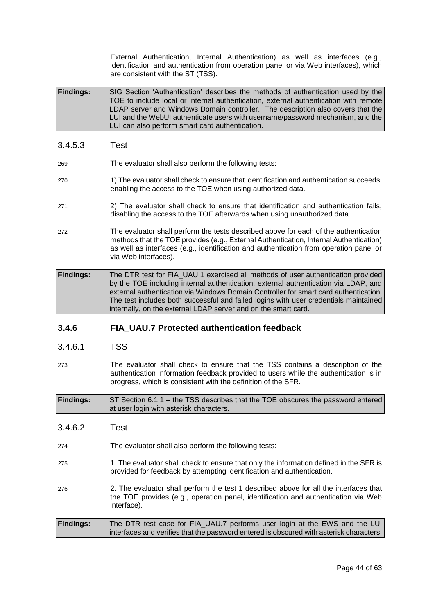External Authentication, Internal Authentication) as well as interfaces (e.g., identification and authentication from operation panel or via Web interfaces), which are consistent with the ST (TSS).

**Findings:** SIG Section 'Authentication' describes the methods of authentication used by the TOE to include local or internal authentication, external authentication with remote LDAP server and Windows Domain controller. The description also covers that the LUI and the WebUI authenticate users with username/password mechanism, and the LUI can also perform smart card authentication.

- 3.4.5.3 Test 269 The evaluator shall also perform the following tests: 270 1) The evaluator shall check to ensure that identification and authentication succeeds, enabling the access to the TOE when using authorized data. 271 2) The evaluator shall check to ensure that identification and authentication fails, disabling the access to the TOE afterwards when using unauthorized data. 272 The evaluator shall perform the tests described above for each of the authentication methods that the TOE provides (e.g., External Authentication, Internal Authentication)
- **Findings:** The DTR test for FIA\_UAU.1 exercised all methods of user authentication provided by the TOE including internal authentication, external authentication via LDAP, and external authentication via Windows Domain Controller for smart card authentication. The test includes both successful and failed logins with user credentials maintained internally, on the external LDAP server and on the smart card.

as well as interfaces (e.g., identification and authentication from operation panel or

### **3.4.6 FIA\_UAU.7 Protected authentication feedback**

via Web interfaces).

- 3.4.6.1 TSS
- 273 The evaluator shall check to ensure that the TSS contains a description of the authentication information feedback provided to users while the authentication is in progress, which is consistent with the definition of the SFR.

**Findings:** ST Section 6.1.1 – the TSS describes that the TOE obscures the password entered at user login with asterisk characters.

- 3.4.6.2 Test
- 274 The evaluator shall also perform the following tests:
- 275 1. The evaluator shall check to ensure that only the information defined in the SFR is provided for feedback by attempting identification and authentication.
- 276 2. The evaluator shall perform the test 1 described above for all the interfaces that the TOE provides (e.g., operation panel, identification and authentication via Web interface).
- **Findings:** The DTR test case for FIA\_UAU.7 performs user login at the EWS and the LUI interfaces and verifies that the password entered is obscured with asterisk characters.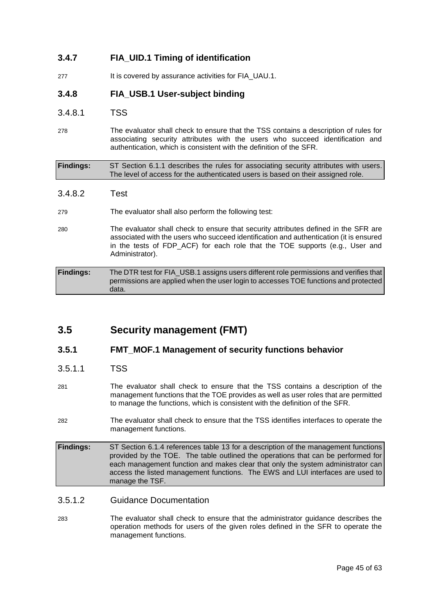### **3.4.7 FIA\_UID.1 Timing of identification**

277 It is covered by assurance activities for FIA UAU.1.

### **3.4.8 FIA\_USB.1 User-subject binding**

### 3.4.8.1 TSS

278 The evaluator shall check to ensure that the TSS contains a description of rules for associating security attributes with the users who succeed identification and authentication, which is consistent with the definition of the SFR.

| <b>Findings:</b> | ST Section 6.1.1 describes the rules for associating security attributes with users. |
|------------------|--------------------------------------------------------------------------------------|
|                  | The level of access for the authenticated users is based on their assigned role.     |

3.4.8.2 Test

### 279 The evaluator shall also perform the following test:

280 The evaluator shall check to ensure that security attributes defined in the SFR are associated with the users who succeed identification and authentication (it is ensured in the tests of FDP ACF) for each role that the TOE supports (e.g., User and Administrator).

| <b>Findings:</b> | The DTR test for FIA USB.1 assigns users different role permissions and verifies that |
|------------------|---------------------------------------------------------------------------------------|
|                  | permissions are applied when the user login to accesses TOE functions and protected   |
|                  | data.                                                                                 |

### <span id="page-44-0"></span>**3.5 Security management (FMT)**

### **3.5.1 FMT\_MOF.1 Management of security functions behavior**

### 3.5.1.1 TSS

- 281 The evaluator shall check to ensure that the TSS contains a description of the management functions that the TOE provides as well as user roles that are permitted to manage the functions, which is consistent with the definition of the SFR.
- 282 The evaluator shall check to ensure that the TSS identifies interfaces to operate the management functions.

**Findings:** ST Section 6.1.4 references table 13 for a description of the management functions provided by the TOE. The table outlined the operations that can be performed for each management function and makes clear that only the system administrator can access the listed management functions. The EWS and LUI interfaces are used to manage the TSF.

### 3.5.1.2 Guidance Documentation

283 The evaluator shall check to ensure that the administrator guidance describes the operation methods for users of the given roles defined in the SFR to operate the management functions.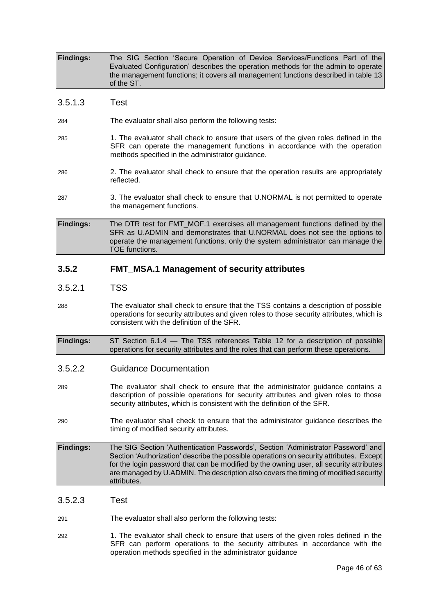| <b>Findings:</b> | The SIG Section 'Secure Operation of Device Services/Functions Part of the         |
|------------------|------------------------------------------------------------------------------------|
|                  | Evaluated Configuration' describes the operation methods for the admin to operate  |
|                  | the management functions; it covers all management functions described in table 13 |
|                  | of the ST.                                                                         |

### 3.5.1.3 Test

284 The evaluator shall also perform the following tests:

- 285 1. The evaluator shall check to ensure that users of the given roles defined in the SFR can operate the management functions in accordance with the operation methods specified in the administrator guidance.
- 286 2. The evaluator shall check to ensure that the operation results are appropriately reflected.
- 287 3. The evaluator shall check to ensure that U.NORMAL is not permitted to operate the management functions.

**Findings:** The DTR test for FMT\_MOF.1 exercises all management functions defined by the SFR as U.ADMIN and demonstrates that U.NORMAL does not see the options to operate the management functions, only the system administrator can manage the TOE functions.

### **3.5.2 FMT\_MSA.1 Management of security attributes**

### 3.5.2.1 TSS

- 288 The evaluator shall check to ensure that the TSS contains a description of possible operations for security attributes and given roles to those security attributes, which is consistent with the definition of the SFR.
- **Findings:** ST Section 6.1.4 The TSS references Table 12 for a description of possible operations for security attributes and the roles that can perform these operations.

### 3.5.2.2 Guidance Documentation

- 289 The evaluator shall check to ensure that the administrator guidance contains a description of possible operations for security attributes and given roles to those security attributes, which is consistent with the definition of the SFR.
- 290 The evaluator shall check to ensure that the administrator guidance describes the timing of modified security attributes.

**Findings:** The SIG Section 'Authentication Passwords', Section 'Administrator Password' and Section 'Authorization' describe the possible operations on security attributes. Except for the login password that can be modified by the owning user, all security attributes are managed by U.ADMIN. The description also covers the timing of modified security attributes.

### 3.5.2.3 Test

291 The evaluator shall also perform the following tests:

292 1. The evaluator shall check to ensure that users of the given roles defined in the SFR can perform operations to the security attributes in accordance with the operation methods specified in the administrator guidance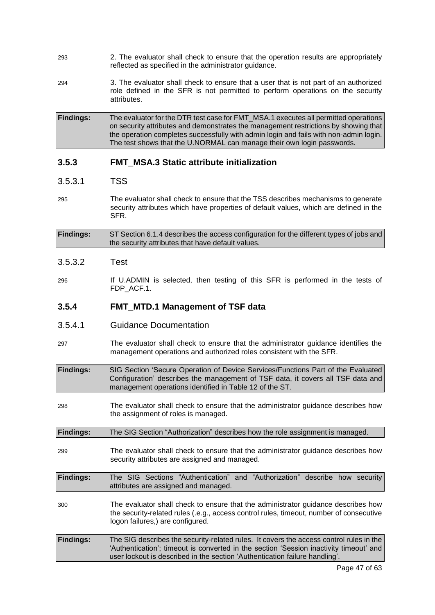- 293 2. The evaluator shall check to ensure that the operation results are appropriately reflected as specified in the administrator guidance.
- 294 3. The evaluator shall check to ensure that a user that is not part of an authorized role defined in the SFR is not permitted to perform operations on the security attributes.

**Findings:** The evaluator for the DTR test case for FMT\_MSA.1 executes all permitted operations on security attributes and demonstrates the management restrictions by showing that the operation completes successfully with admin login and fails with non-admin login. The test shows that the U.NORMAL can manage their own login passwords.

### **3.5.3 FMT\_MSA.3 Static attribute initialization**

### 3.5.3.1 TSS

295 The evaluator shall check to ensure that the TSS describes mechanisms to generate security attributes which have properties of default values, which are defined in the SFR.

**Findings:** ST Section 6.1.4 describes the access configuration for the different types of jobs and the security attributes that have default values.

### 3.5.3.2 Test

296 If U.ADMIN is selected, then testing of this SFR is performed in the tests of FDP\_ACF.1.

### **3.5.4 FMT\_MTD.1 Management of TSF data**

- 3.5.4.1 Guidance Documentation
- 297 The evaluator shall check to ensure that the administrator guidance identifies the management operations and authorized roles consistent with the SFR.

**Findings:** SIG Section 'Secure Operation of Device Services/Functions Part of the Evaluated Configuration' describes the management of TSF data, it covers all TSF data and management operations identified in Table 12 of the ST.

298 The evaluator shall check to ensure that the administrator guidance describes how the assignment of roles is managed.

**Findings:** The SIG Section "Authorization" describes how the role assignment is managed.

299 The evaluator shall check to ensure that the administrator guidance describes how security attributes are assigned and managed.

**Findings:** The SIG Sections "Authentication" and "Authorization" describe how security attributes are assigned and managed.

- 300 The evaluator shall check to ensure that the administrator guidance describes how the security-related rules (.e.g., access control rules, timeout, number of consecutive logon failures,) are configured.
- **Findings:** The SIG describes the security-related rules. It covers the access control rules in the 'Authentication'; timeout is converted in the section 'Session inactivity timeout' and user lockout is described in the section 'Authentication failure handling'.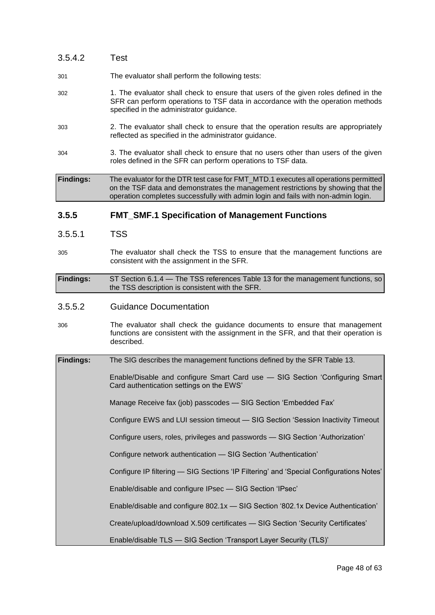| 3.5.4.2          | <b>Test</b>                                                                                                                                                                                                                                                  |  |  |
|------------------|--------------------------------------------------------------------------------------------------------------------------------------------------------------------------------------------------------------------------------------------------------------|--|--|
| 301              | The evaluator shall perform the following tests:                                                                                                                                                                                                             |  |  |
| 302              | 1. The evaluator shall check to ensure that users of the given roles defined in the<br>SFR can perform operations to TSF data in accordance with the operation methods<br>specified in the administrator guidance.                                           |  |  |
| 303              | 2. The evaluator shall check to ensure that the operation results are appropriately<br>reflected as specified in the administrator guidance.                                                                                                                 |  |  |
| 304              | 3. The evaluator shall check to ensure that no users other than users of the given<br>roles defined in the SFR can perform operations to TSF data.                                                                                                           |  |  |
| <b>Findings:</b> | The evaluator for the DTR test case for FMT_MTD.1 executes all operations permitted<br>on the TSF data and demonstrates the management restrictions by showing that the<br>operation completes successfully with admin login and fails with non-admin login. |  |  |
|                  |                                                                                                                                                                                                                                                              |  |  |
| 3.5.5            | <b>FMT_SMF.1 Specification of Management Functions</b>                                                                                                                                                                                                       |  |  |
| 3.5.5.1          | <b>TSS</b>                                                                                                                                                                                                                                                   |  |  |
| 305              | The evaluator shall check the TSS to ensure that the management functions are<br>consistent with the assignment in the SFR.                                                                                                                                  |  |  |
| <b>Findings:</b> | ST Section 6.1.4 - The TSS references Table 13 for the management functions, so<br>the TSS description is consistent with the SFR.                                                                                                                           |  |  |
| 3.5.5.2          | <b>Guidance Documentation</b>                                                                                                                                                                                                                                |  |  |
| 306              | The evaluator shall check the guidance documents to ensure that management<br>functions are consistent with the assignment in the SFR, and that their operation is<br>described.                                                                             |  |  |

| <b>Findings:</b> | The SIG describes the management functions defined by the SFR Table 13.                                                  |
|------------------|--------------------------------------------------------------------------------------------------------------------------|
|                  | Enable/Disable and configure Smart Card use - SIG Section 'Configuring Smart<br>Card authentication settings on the EWS' |
|                  | Manage Receive fax (job) passcodes - SIG Section 'Embedded Fax'                                                          |
|                  | Configure EWS and LUI session timeout - SIG Section 'Session Inactivity Timeout                                          |
|                  | Configure users, roles, privileges and passwords - SIG Section 'Authorization'                                           |
|                  | Configure network authentication - SIG Section 'Authentication'                                                          |
|                  | Configure IP filtering — SIG Sections 'IP Filtering' and 'Special Configurations Notes'                                  |
|                  | Enable/disable and configure IPsec - SIG Section 'IPsec'                                                                 |
|                  | Enable/disable and configure 802.1x - SIG Section '802.1x Device Authentication'                                         |
|                  | Create/upload/download X.509 certificates - SIG Section 'Security Certificates'                                          |
|                  | Enable/disable TLS - SIG Section 'Transport Layer Security (TLS)'                                                        |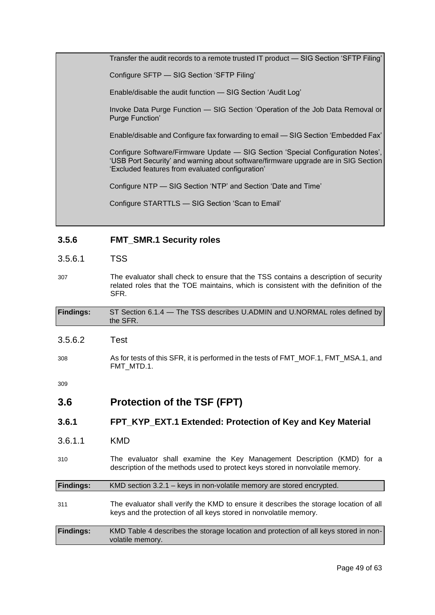Transfer the audit records to a remote trusted IT product — SIG Section 'SFTP Filing' Configure SFTP — SIG Section 'SFTP Filing' Enable/disable the audit function — SIG Section 'Audit Log' Invoke Data Purge Function — SIG Section 'Operation of the Job Data Removal or Purge Function' Enable/disable and Configure fax forwarding to email — SIG Section 'Embedded Fax' Configure Software/Firmware Update — SIG Section 'Special Configuration Notes', 'USB Port Security' and warning about software/firmware upgrade are in SIG Section 'Excluded features from evaluated configuration' Configure NTP — SIG Section 'NTP' and Section 'Date and Time' Configure STARTTLS — SIG Section 'Scan to Email'

### **3.5.6 FMT\_SMR.1 Security roles**

### 3.5.6.1 TSS

307 The evaluator shall check to ensure that the TSS contains a description of security related roles that the TOE maintains, which is consistent with the definition of the SFR.

| <b>Findings:</b> | ST Section 6.1.4 – The TSS describes U.ADMIN and U.NORMAL roles defined by<br>the SFR.            |
|------------------|---------------------------------------------------------------------------------------------------|
| 3.5.6.2          | Test                                                                                              |
| 308              | As for tests of this SFR, it is performed in the tests of FMT_MOF.1, FMT_MSA.1, and<br>FMT MTD.1. |

309

### <span id="page-48-0"></span>**3.6 Protection of the TSF (FPT)**

volatile memory.

### **3.6.1 FPT\_KYP\_EXT.1 Extended: Protection of Key and Key Material**

- 3.6.1.1 KMD
- 310 The evaluator shall examine the Key Management Description (KMD) for a description of the methods used to protect keys stored in nonvolatile memory.

| <b>Findings:</b> | KMD section 3.2.1 – keys in non-volatile memory are stored encrypted.                                                                                      |  |  |
|------------------|------------------------------------------------------------------------------------------------------------------------------------------------------------|--|--|
| 311              | The evaluator shall verify the KMD to ensure it describes the storage location of all<br>keys and the protection of all keys stored in nonvolatile memory. |  |  |
| <b>Findings:</b> | KMD Table 4 describes the storage location and protection of all keys stored in non-                                                                       |  |  |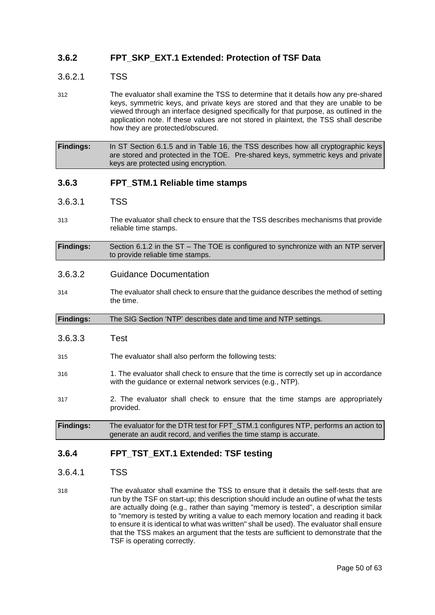### **3.6.2 FPT\_SKP\_EXT.1 Extended: Protection of TSF Data**

### 3.6.2.1 TSS

312 The evaluator shall examine the TSS to determine that it details how any pre-shared keys, symmetric keys, and private keys are stored and that they are unable to be viewed through an interface designed specifically for that purpose, as outlined in the application note. If these values are not stored in plaintext, the TSS shall describe how they are protected/obscured.

**Findings:** In ST Section 6.1.5 and in Table 16, the TSS describes how all cryptographic keys are stored and protected in the TOE. Pre-shared keys, symmetric keys and private keys are protected using encryption.

### **3.6.3 FPT\_STM.1 Reliable time stamps**

- 3.6.3.1 TSS
- 313 The evaluator shall check to ensure that the TSS describes mechanisms that provide reliable time stamps.

**Findings:** Section 6.1.2 in the ST – The TOE is configured to synchronize with an NTP server to provide reliable time stamps.

### 3.6.3.2 Guidance Documentation

- 314 The evaluator shall check to ensure that the guidance describes the method of setting the time.
- **Findings:** The SIG Section 'NTP' describes date and time and NTP settings.
- 3.6.3.3 Test
- 315 The evaluator shall also perform the following tests:
- 316 1. The evaluator shall check to ensure that the time is correctly set up in accordance with the guidance or external network services (e.g., NTP).
- 317 2. The evaluator shall check to ensure that the time stamps are appropriately provided.
- **Findings:** The evaluator for the DTR test for FPT\_STM.1 configures NTP, performs an action to generate an audit record, and verifies the time stamp is accurate.

### **3.6.4 FPT\_TST\_EXT.1 Extended: TSF testing**

### 3.6.4.1 TSS

318 The evaluator shall examine the TSS to ensure that it details the self-tests that are run by the TSF on start-up; this description should include an outline of what the tests are actually doing (e.g., rather than saying "memory is tested", a description similar to "memory is tested by writing a value to each memory location and reading it back to ensure it is identical to what was written" shall be used). The evaluator shall ensure that the TSS makes an argument that the tests are sufficient to demonstrate that the TSF is operating correctly.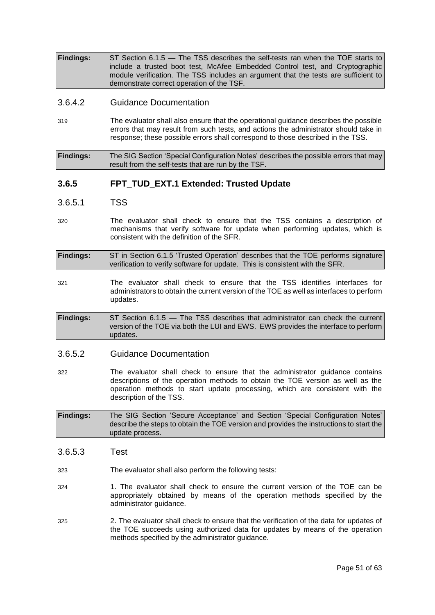**Findings:** ST Section 6.1.5 — The TSS describes the self-tests ran when the TOE starts to include a trusted boot test, McAfee Embedded Control test, and Cryptographic module verification. The TSS includes an argument that the tests are sufficient to demonstrate correct operation of the TSF.

### 3.6.4.2 Guidance Documentation

319 The evaluator shall also ensure that the operational guidance describes the possible errors that may result from such tests, and actions the administrator should take in response; these possible errors shall correspond to those described in the TSS.

**Findings:** The SIG Section 'Special Configuration Notes' describes the possible errors that may result from the self-tests that are run by the TSF.

### **3.6.5 FPT\_TUD\_EXT.1 Extended: Trusted Update**

- 3.6.5.1 TSS
- 320 The evaluator shall check to ensure that the TSS contains a description of mechanisms that verify software for update when performing updates, which is consistent with the definition of the SFR.
- **Findings:** ST in Section 6.1.5 'Trusted Operation' describes that the TOE performs signature verification to verify software for update. This is consistent with the SFR.
- 321 The evaluator shall check to ensure that the TSS identifies interfaces for administrators to obtain the current version of the TOE as well as interfaces to perform updates.
- **Findings:** ST Section 6.1.5 The TSS describes that administrator can check the current version of the TOE via both the LUI and EWS. EWS provides the interface to perform updates.

### 3.6.5.2 Guidance Documentation

322 The evaluator shall check to ensure that the administrator guidance contains descriptions of the operation methods to obtain the TOE version as well as the operation methods to start update processing, which are consistent with the description of the TSS.

**Findings:** The SIG Section 'Secure Acceptance' and Section 'Special Configuration Notes' describe the steps to obtain the TOE version and provides the instructions to start the update process.

- 3.6.5.3 Test
- 323 The evaluator shall also perform the following tests:
- 324 1. The evaluator shall check to ensure the current version of the TOE can be appropriately obtained by means of the operation methods specified by the administrator guidance.
- 325 2. The evaluator shall check to ensure that the verification of the data for updates of the TOE succeeds using authorized data for updates by means of the operation methods specified by the administrator guidance.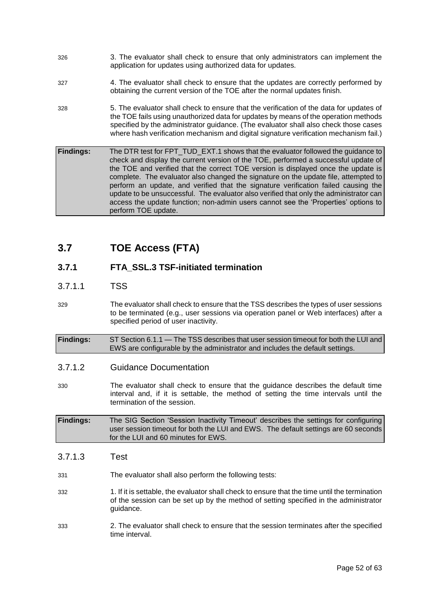- 326 3. The evaluator shall check to ensure that only administrators can implement the application for updates using authorized data for updates.
- 327 4. The evaluator shall check to ensure that the updates are correctly performed by obtaining the current version of the TOE after the normal updates finish.
- 328 5. The evaluator shall check to ensure that the verification of the data for updates of the TOE fails using unauthorized data for updates by means of the operation methods specified by the administrator guidance. (The evaluator shall also check those cases where hash verification mechanism and digital signature verification mechanism fail.)
- **Findings:** The DTR test for FPT\_TUD\_EXT.1 shows that the evaluator followed the guidance to check and display the current version of the TOE, performed a successful update of the TOE and verified that the correct TOE version is displayed once the update is complete. The evaluator also changed the signature on the update file, attempted to perform an update, and verified that the signature verification failed causing the update to be unsuccessful. The evaluator also verified that only the administrator can access the update function; non-admin users cannot see the 'Properties' options to perform TOE update.

### <span id="page-51-0"></span>**3.7 TOE Access (FTA)**

### **3.7.1 FTA\_SSL.3 TSF-initiated termination**

### 3.7.1.1 TSS

- 329 The evaluator shall check to ensure that the TSS describes the types of user sessions to be terminated (e.g., user sessions via operation panel or Web interfaces) after a specified period of user inactivity.
- **Findings:** ST Section 6.1.1 The TSS describes that user session timeout for both the LUI and EWS are configurable by the administrator and includes the default settings.
- 3.7.1.2 Guidance Documentation
- 330 The evaluator shall check to ensure that the guidance describes the default time interval and, if it is settable, the method of setting the time intervals until the termination of the session.
- **Findings:** The SIG Section 'Session Inactivity Timeout' describes the settings for configuring user session timeout for both the LUI and EWS. The default settings are 60 seconds for the LUI and 60 minutes for EWS.
- 3.7.1.3 Test
- 331 The evaluator shall also perform the following tests:
- 332 1. If it is settable, the evaluator shall check to ensure that the time until the termination of the session can be set up by the method of setting specified in the administrator guidance.
- 333 2. The evaluator shall check to ensure that the session terminates after the specified time interval.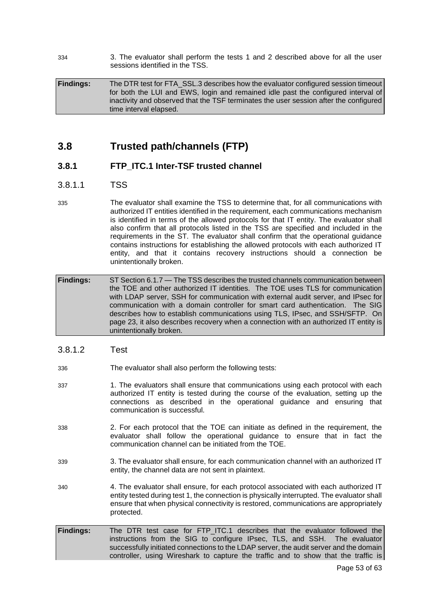334 3. The evaluator shall perform the tests 1 and 2 described above for all the user sessions identified in the TSS.

**Findings:** The DTR test for FTA\_SSL.3 describes how the evaluator configured session timeout for both the LUI and EWS, login and remained idle past the configured interval of inactivity and observed that the TSF terminates the user session after the configured time interval elapsed.

### <span id="page-52-0"></span>**3.8 Trusted path/channels (FTP)**

### **3.8.1 FTP\_ITC.1 Inter-TSF trusted channel**

### 3.8.1.1 TSS

335 The evaluator shall examine the TSS to determine that, for all communications with authorized IT entities identified in the requirement, each communications mechanism is identified in terms of the allowed protocols for that IT entity. The evaluator shall also confirm that all protocols listed in the TSS are specified and included in the requirements in the ST. The evaluator shall confirm that the operational guidance contains instructions for establishing the allowed protocols with each authorized IT entity, and that it contains recovery instructions should a connection be unintentionally broken.

**Findings:** ST Section 6.1.7 — The TSS describes the trusted channels communication between the TOE and other authorized IT identities. The TOE uses TLS for communication with LDAP server, SSH for communication with external audit server, and IPsec for communication with a domain controller for smart card authentication. The SIG describes how to establish communications using TLS, IPsec, and SSH/SFTP. On page 23, it also describes recovery when a connection with an authorized IT entity is unintentionally broken.

### 3.8.1.2 Test

- 336 The evaluator shall also perform the following tests:
- 337 1. The evaluators shall ensure that communications using each protocol with each authorized IT entity is tested during the course of the evaluation, setting up the connections as described in the operational guidance and ensuring that communication is successful.
- 338 2. For each protocol that the TOE can initiate as defined in the requirement, the evaluator shall follow the operational guidance to ensure that in fact the communication channel can be initiated from the TOE.
- 339 3. The evaluator shall ensure, for each communication channel with an authorized IT entity, the channel data are not sent in plaintext.
- 340 4. The evaluator shall ensure, for each protocol associated with each authorized IT entity tested during test 1, the connection is physically interrupted. The evaluator shall ensure that when physical connectivity is restored, communications are appropriately protected.
- **Findings:** The DTR test case for FTP\_ITC.1 describes that the evaluator followed the instructions from the SIG to configure IPsec, TLS, and SSH. The evaluator successfully initiated connections to the LDAP server, the audit server and the domain controller, using Wireshark to capture the traffic and to show that the traffic is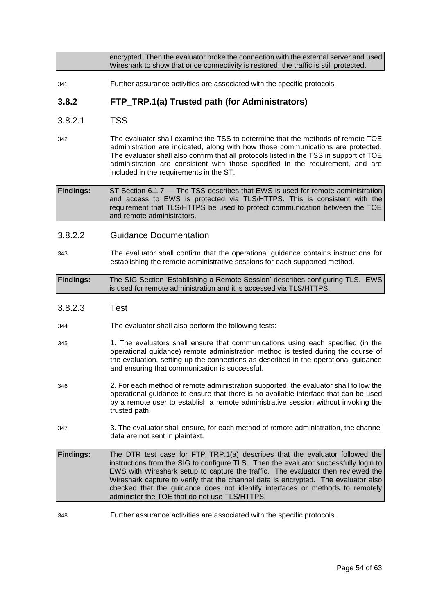encrypted. Then the evaluator broke the connection with the external server and used Wireshark to show that once connectivity is restored, the traffic is still protected.

341 Further assurance activities are associated with the specific protocols.

### **3.8.2 FTP\_TRP.1(a) Trusted path (for Administrators)**

- 3.8.2.1 TSS
- 342 The evaluator shall examine the TSS to determine that the methods of remote TOE administration are indicated, along with how those communications are protected. The evaluator shall also confirm that all protocols listed in the TSS in support of TOE administration are consistent with those specified in the requirement, and are included in the requirements in the ST.

**Findings:** ST Section 6.1.7 — The TSS describes that EWS is used for remote administration and access to EWS is protected via TLS/HTTPS. This is consistent with the requirement that TLS/HTTPS be used to protect communication between the TOE and remote administrators.

- 3.8.2.2 Guidance Documentation
- 343 The evaluator shall confirm that the operational guidance contains instructions for establishing the remote administrative sessions for each supported method.
- **Findings:** The SIG Section 'Establishing a Remote Session' describes configuring TLS. EWS is used for remote administration and it is accessed via TLS/HTTPS.
- 3.8.2.3 Test
- 344 The evaluator shall also perform the following tests:
- 345 1. The evaluators shall ensure that communications using each specified (in the operational guidance) remote administration method is tested during the course of the evaluation, setting up the connections as described in the operational guidance and ensuring that communication is successful.
- 346 2. For each method of remote administration supported, the evaluator shall follow the operational guidance to ensure that there is no available interface that can be used by a remote user to establish a remote administrative session without invoking the trusted path.
- 347 3. The evaluator shall ensure, for each method of remote administration, the channel data are not sent in plaintext.
- **Findings:** The DTR test case for FTP\_TRP.1(a) describes that the evaluator followed the instructions from the SIG to configure TLS. Then the evaluator successfully login to EWS with Wireshark setup to capture the traffic. The evaluator then reviewed the Wireshark capture to verify that the channel data is encrypted. The evaluator also checked that the guidance does not identify interfaces or methods to remotely administer the TOE that do not use TLS/HTTPS.
- 348 Further assurance activities are associated with the specific protocols.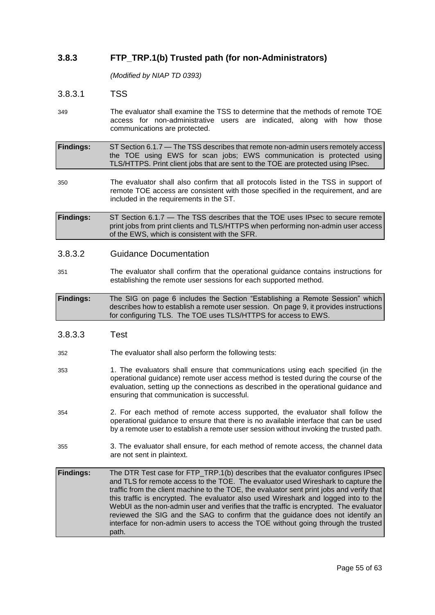### **3.8.3 FTP\_TRP.1(b) Trusted path (for non-Administrators)**

*(Modified by NIAP TD 0393)*

### 3.8.3.1 TSS

349 The evaluator shall examine the TSS to determine that the methods of remote TOE access for non-administrative users are indicated, along with how those communications are protected.

**Findings:** ST Section 6.1.7 — The TSS describes that remote non-admin users remotely access the TOE using EWS for scan jobs; EWS communication is protected using TLS/HTTPS. Print client jobs that are sent to the TOE are protected using IPsec.

350 The evaluator shall also confirm that all protocols listed in the TSS in support of remote TOE access are consistent with those specified in the requirement, and are included in the requirements in the ST.

**Findings:** ST Section 6.1.7 — The TSS describes that the TOE uses IPsec to secure remote print jobs from print clients and TLS/HTTPS when performing non-admin user access of the EWS, which is consistent with the SFR.

### 3.8.3.2 Guidance Documentation

351 The evaluator shall confirm that the operational guidance contains instructions for establishing the remote user sessions for each supported method.

**Findings:** The SIG on page 6 includes the Section "Establishing a Remote Session" which describes how to establish a remote user session. On page 9, it provides instructions for configuring TLS. The TOE uses TLS/HTTPS for access to EWS.

### 3.8.3.3 Test

- 352 The evaluator shall also perform the following tests:
- 353 1. The evaluators shall ensure that communications using each specified (in the operational guidance) remote user access method is tested during the course of the evaluation, setting up the connections as described in the operational guidance and ensuring that communication is successful.
- 354 2. For each method of remote access supported, the evaluator shall follow the operational guidance to ensure that there is no available interface that can be used by a remote user to establish a remote user session without invoking the trusted path.
- 355 3. The evaluator shall ensure, for each method of remote access, the channel data are not sent in plaintext.

**Findings:** The DTR Test case for FTP\_TRP.1(b) describes that the evaluator configures IPsec and TLS for remote access to the TOE. The evaluator used Wireshark to capture the traffic from the client machine to the TOE, the evaluator sent print jobs and verify that this traffic is encrypted. The evaluator also used Wireshark and logged into to the WebUI as the non-admin user and verifies that the traffic is encrypted. The evaluator reviewed the SIG and the SAG to confirm that the guidance does not identify an interface for non-admin users to access the TOE without going through the trusted path.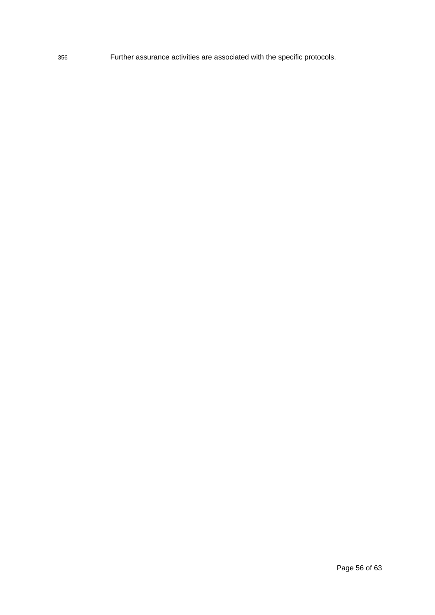356 Further assurance activities are associated with the specific protocols.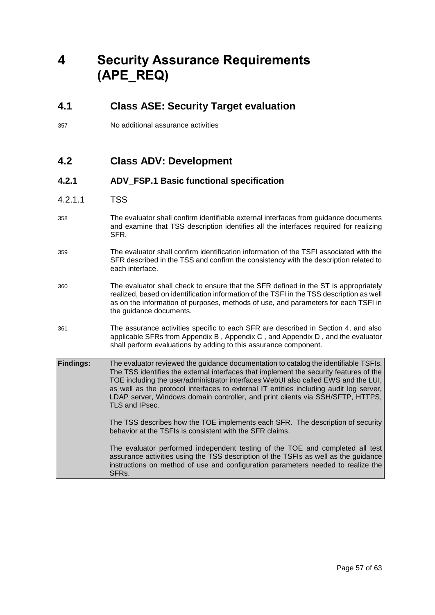# <span id="page-56-0"></span>**4 Security Assurance Requirements (APE\_REQ)**

### <span id="page-56-1"></span>**4.1 Class ASE: Security Target evaluation**

357 No additional assurance activities

### <span id="page-56-2"></span>**4.2 Class ADV: Development**

### **4.2.1 ADV\_FSP.1 Basic functional specification**

- 4.2.1.1 TSS
- 358 The evaluator shall confirm identifiable external interfaces from guidance documents and examine that TSS description identifies all the interfaces required for realizing SFR.
- 359 The evaluator shall confirm identification information of the TSFI associated with the SFR described in the TSS and confirm the consistency with the description related to each interface.
- 360 The evaluator shall check to ensure that the SFR defined in the ST is appropriately realized, based on identification information of the TSFI in the TSS description as well as on the information of purposes, methods of use, and parameters for each TSFI in the guidance documents.
- 361 The assurance activities specific to each SFR are described in Section 4, and also applicable SFRs from Appendix B , Appendix C , and Appendix D , and the evaluator shall perform evaluations by adding to this assurance component.

**Findings:** The evaluator reviewed the guidance documentation to catalog the identifiable TSFIs. The TSS identifies the external interfaces that implement the security features of the TOE including the user/administrator interfaces WebUI also called EWS and the LUI, as well as the protocol interfaces to external IT entities including audit log server, LDAP server, Windows domain controller, and print clients via SSH/SFTP, HTTPS, TLS and IPsec.

> The TSS describes how the TOE implements each SFR. The description of security behavior at the TSFIs is consistent with the SFR claims.

The evaluator performed independent testing of the TOE and completed all test assurance activities using the TSS description of the TSFIs as well as the guidance instructions on method of use and configuration parameters needed to realize the SFRs.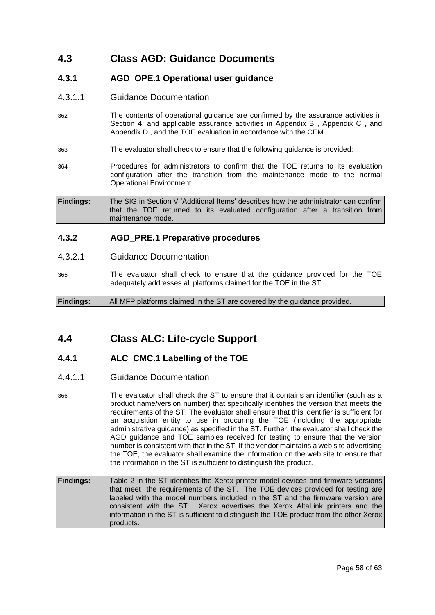### <span id="page-57-0"></span>**4.3 Class AGD: Guidance Documents**

### **4.3.1 AGD\_OPE.1 Operational user guidance**

- 4.3.1.1 Guidance Documentation
- 362 The contents of operational guidance are confirmed by the assurance activities in Section 4, and applicable assurance activities in Appendix B , Appendix C , and Appendix D , and the TOE evaluation in accordance with the CEM.
- 363 The evaluator shall check to ensure that the following guidance is provided:
- 364 Procedures for administrators to confirm that the TOE returns to its evaluation configuration after the transition from the maintenance mode to the normal Operational Environment.

**Findings:** The SIG in Section V 'Additional Items' describes how the administrator can confirm that the TOE returned to its evaluated configuration after a transition from maintenance mode.

### **4.3.2 AGD\_PRE.1 Preparative procedures**

- 4.3.2.1 Guidance Documentation
- 365 The evaluator shall check to ensure that the guidance provided for the TOE adequately addresses all platforms claimed for the TOE in the ST.

**Findings:** All MFP platforms claimed in the ST are covered by the guidance provided.

### <span id="page-57-1"></span>**4.4 Class ALC: Life-cycle Support**

### **4.4.1 ALC\_CMC.1 Labelling of the TOE**

- 4.4.1.1 Guidance Documentation
- 366 The evaluator shall check the ST to ensure that it contains an identifier (such as a product name/version number) that specifically identifies the version that meets the requirements of the ST. The evaluator shall ensure that this identifier is sufficient for an acquisition entity to use in procuring the TOE (including the appropriate administrative guidance) as specified in the ST. Further, the evaluator shall check the AGD guidance and TOE samples received for testing to ensure that the version number is consistent with that in the ST. If the vendor maintains a web site advertising the TOE, the evaluator shall examine the information on the web site to ensure that the information in the ST is sufficient to distinguish the product.
- **Findings:** Table 2 in the ST identifies the Xerox printer model devices and firmware versions that meet the requirements of the ST. The TOE devices provided for testing are labeled with the model numbers included in the ST and the firmware version are consistent with the ST. Xerox advertises the Xerox AltaLink printers and the information in the ST is sufficient to distinguish the TOE product from the other Xerox products.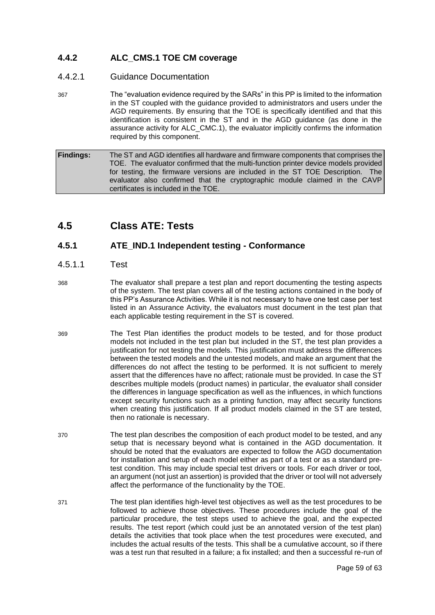### **4.4.2 ALC\_CMS.1 TOE CM coverage**

### 4.4.2.1 Guidance Documentation

367 The "evaluation evidence required by the SARs" in this PP is limited to the information in the ST coupled with the guidance provided to administrators and users under the AGD requirements. By ensuring that the TOE is specifically identified and that this identification is consistent in the ST and in the AGD guidance (as done in the assurance activity for ALC\_CMC.1), the evaluator implicitly confirms the information required by this component.

**Findings:** The ST and AGD identifies all hardware and firmware components that comprises the TOE. The evaluator confirmed that the multi-function printer device models provided for testing, the firmware versions are included in the ST TOE Description. The evaluator also confirmed that the cryptographic module claimed in the CAVP certificates is included in the TOE.

### <span id="page-58-0"></span>**4.5 Class ATE: Tests**

### **4.5.1 ATE\_IND.1 Independent testing - Conformance**

### 4.5.1.1 Test

- 368 The evaluator shall prepare a test plan and report documenting the testing aspects of the system. The test plan covers all of the testing actions contained in the body of this PP's Assurance Activities. While it is not necessary to have one test case per test listed in an Assurance Activity, the evaluators must document in the test plan that each applicable testing requirement in the ST is covered.
- 369 The Test Plan identifies the product models to be tested, and for those product models not included in the test plan but included in the ST, the test plan provides a justification for not testing the models. This justification must address the differences between the tested models and the untested models, and make an argument that the differences do not affect the testing to be performed. It is not sufficient to merely assert that the differences have no affect; rationale must be provided. In case the ST describes multiple models (product names) in particular, the evaluator shall consider the differences in language specification as well as the influences, in which functions except security functions such as a printing function, may affect security functions when creating this justification. If all product models claimed in the ST are tested, then no rationale is necessary.
- 370 The test plan describes the composition of each product model to be tested, and any setup that is necessary beyond what is contained in the AGD documentation. It should be noted that the evaluators are expected to follow the AGD documentation for installation and setup of each model either as part of a test or as a standard pretest condition. This may include special test drivers or tools. For each driver or tool, an argument (not just an assertion) is provided that the driver or tool will not adversely affect the performance of the functionality by the TOE.
- 371 The test plan identifies high-level test objectives as well as the test procedures to be followed to achieve those objectives. These procedures include the goal of the particular procedure, the test steps used to achieve the goal, and the expected results. The test report (which could just be an annotated version of the test plan) details the activities that took place when the test procedures were executed, and includes the actual results of the tests. This shall be a cumulative account, so if there was a test run that resulted in a failure; a fix installed; and then a successful re-run of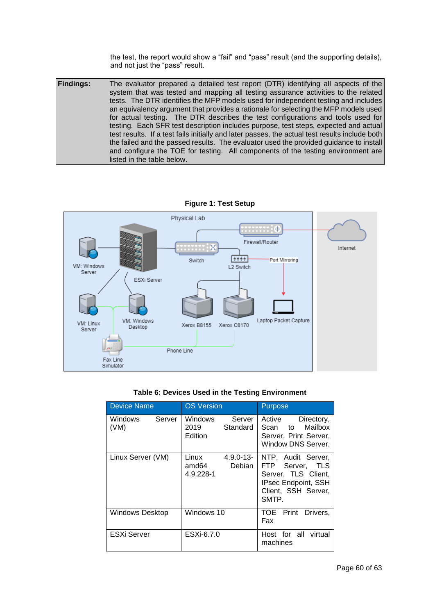the test, the report would show a "fail" and "pass" result (and the supporting details), and not just the "pass" result.

**Findings:** The evaluator prepared a detailed test report (DTR) identifying all aspects of the system that was tested and mapping all testing assurance activities to the related tests. The DTR identifies the MFP models used for independent testing and includes an equivalency argument that provides a rationale for selecting the MFP models used for actual testing. The DTR describes the test configurations and tools used for testing. Each SFR test description includes purpose, test steps, expected and actual test results. If a test fails initially and later passes, the actual test results include both the failed and the passed results. The evaluator used the provided guidance to install and configure the TOE for testing. All components of the testing environment are listed in the table below.





### **Table 6: Devices Used in the Testing Environment**

| <b>Device Name</b>        | <b>OS Version</b>                                       | <b>Purpose</b>                                                                                                             |  |
|---------------------------|---------------------------------------------------------|----------------------------------------------------------------------------------------------------------------------------|--|
| Server<br>Windows<br>(VM) | <b>Windows</b><br>Server<br>Standard<br>2019<br>Edition | Active<br>Directory,<br>to Mailbox<br>Scan<br>Server, Print Server,<br>Window DNS Server.                                  |  |
| Linux Server (VM)         | Linux<br>$4.9.0 - 13 -$<br>Debian<br>amd64<br>4.9.228-1 | NTP, Audit Server,<br>FTP Server, TLS<br>Server, TLS Client,<br><b>IPsec Endpoint, SSH</b><br>Client, SSH Server,<br>SMTP. |  |
| <b>Windows Desktop</b>    | Windows 10                                              | TOE Print<br>Drivers,<br>Fax                                                                                               |  |
| <b>ESXi Server</b>        | ESXi-6.7.0                                              | Host for all virtual<br>machines                                                                                           |  |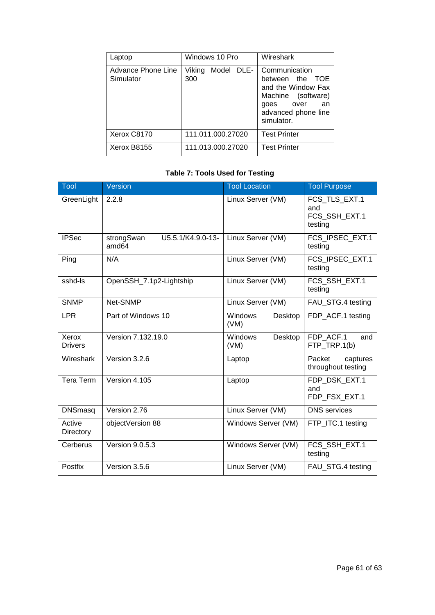| Laptop                           | Windows 10 Pro              | Wireshark                                                                                                                            |  |
|----------------------------------|-----------------------------|--------------------------------------------------------------------------------------------------------------------------------------|--|
| Advance Phone Line<br>Simulator  | Viking<br>Model DLE-<br>300 | Communication<br>between the TOE<br>and the Window Fax<br>Machine (software)<br>goes over<br>an<br>advanced phone line<br>simulator. |  |
| Xerox C8170                      | 111.011.000.27020           | <b>Test Printer</b>                                                                                                                  |  |
| 111.013.000.27020<br>Xerox B8155 |                             | <b>Test Printer</b>                                                                                                                  |  |

### **Table 7: Tools Used for Testing**

| Tool                    | Version                                  | <b>Tool Location</b>       | <b>Tool Purpose</b>                              |
|-------------------------|------------------------------------------|----------------------------|--------------------------------------------------|
| GreenLight              | 2.2.8                                    | Linux Server (VM)          | FCS_TLS_EXT.1<br>and<br>FCS SSH EXT.1<br>testing |
| <b>IPSec</b>            | U5.5.1/K4.9.0-13-<br>strongSwan<br>amd64 | Linux Server (VM)          | FCS IPSEC EXT.1<br>testing                       |
| Ping                    | N/A                                      | Linux Server (VM)          | FCS IPSEC EXT.1<br>testing                       |
| sshd-Is                 | OpenSSH_7.1p2-Lightship                  | Linux Server (VM)          | FCS SSH EXT.1<br>testing                         |
| <b>SNMP</b>             | Net-SNMP                                 | Linux Server (VM)          | FAU_STG.4 testing                                |
| <b>LPR</b>              | Part of Windows 10                       | Windows<br>Desktop<br>(VM) | FDP_ACF.1 testing                                |
| Xerox<br><b>Drivers</b> | Version 7.132.19.0                       | Windows<br>Desktop<br>(VM) | FDP ACF.1<br>and<br>FTP_TRP.1(b)                 |
| Wireshark               | Version 3.2.6                            | Laptop                     | Packet<br>captures<br>throughout testing         |
| Tera Term               | Version 4.105                            | Laptop                     | FDP DSK EXT.1<br>and<br>FDP_FSX_EXT.1            |
| <b>DNSmasq</b>          | Version 2.76                             | Linux Server (VM)          | <b>DNS</b> services                              |
| Active<br>Directory     | objectVersion 88                         | Windows Server (VM)        | FTP_ITC.1 testing                                |
| Cerberus                | <b>Version 9.0.5.3</b>                   | Windows Server (VM)        | FCS_SSH_EXT.1<br>testing                         |
| Postfix                 | Version 3.5.6                            | Linux Server (VM)          | FAU_STG.4 testing                                |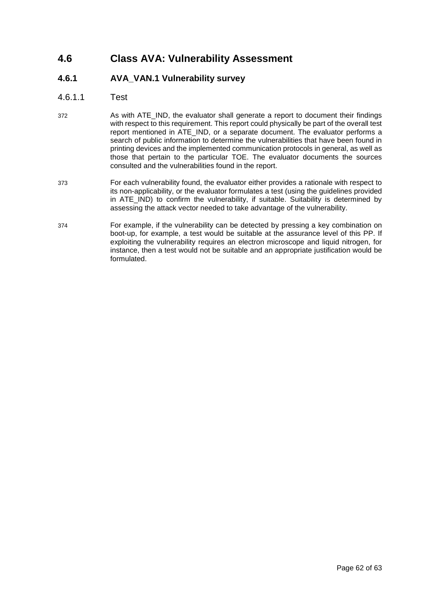### <span id="page-61-0"></span>**4.6 Class AVA: Vulnerability Assessment**

### **4.6.1 AVA\_VAN.1 Vulnerability survey**

- 4.6.1.1 Test
- 372 As with ATE\_IND, the evaluator shall generate a report to document their findings with respect to this requirement. This report could physically be part of the overall test report mentioned in ATE\_IND, or a separate document. The evaluator performs a search of public information to determine the vulnerabilities that have been found in printing devices and the implemented communication protocols in general, as well as those that pertain to the particular TOE. The evaluator documents the sources consulted and the vulnerabilities found in the report.
- 373 For each vulnerability found, the evaluator either provides a rationale with respect to its non-applicability, or the evaluator formulates a test (using the guidelines provided in ATE\_IND) to confirm the vulnerability, if suitable. Suitability is determined by assessing the attack vector needed to take advantage of the vulnerability.
- 374 For example, if the vulnerability can be detected by pressing a key combination on boot-up, for example, a test would be suitable at the assurance level of this PP. If exploiting the vulnerability requires an electron microscope and liquid nitrogen, for instance, then a test would not be suitable and an appropriate justification would be formulated.